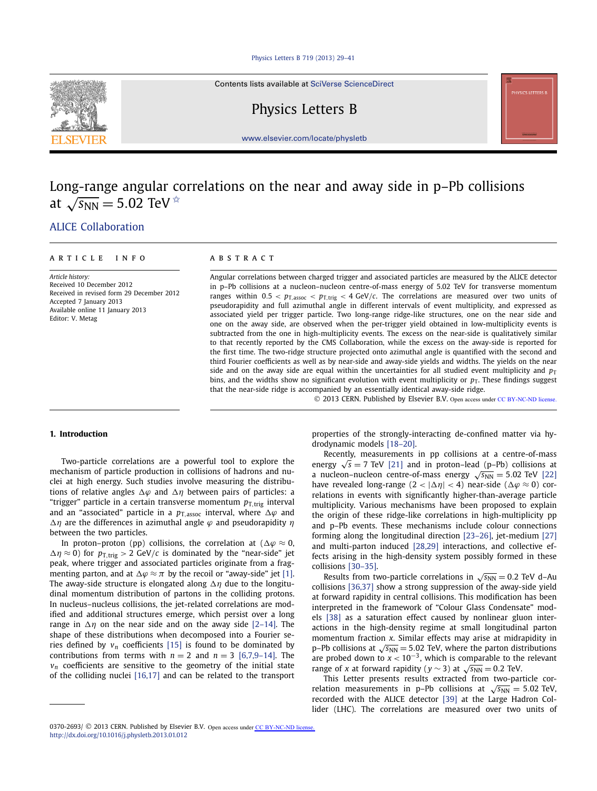Contents lists available at [SciVerse ScienceDirect](http://www.ScienceDirect.com/)

Physics Letters B

[www.elsevier.com/locate/physletb](http://www.elsevier.com/locate/physletb)

# Long-range angular correlations on the near and away side in p–Pb collisions at  $\sqrt{s_{NN}} = 5.02$  TeV  $*$

# [.ALICE Collaboration](#page-6-0)

### article info abstract

*Article history:* Received 10 December 2012 Received in revised form 29 December 2012 Accepted 7 January 2013 Available online 11 January 2013 Editor: V. Metag

Angular correlations between charged trigger and associated particles are measured by the ALICE detector in p–Pb collisions at a nucleon–nucleon centre-of-mass energy of 5.02 TeV for transverse momentum ranges within 0*.*5 *< p*T*,*assoc *< p*T*,*trig *<* 4 GeV*/c*. The correlations are measured over two units of pseudorapidity and full azimuthal angle in different intervals of event multiplicity, and expressed as associated yield per trigger particle. Two long-range ridge-like structures, one on the near side and one on the away side, are observed when the per-trigger yield obtained in low-multiplicity events is subtracted from the one in high-multiplicity events. The excess on the near-side is qualitatively similar to that recently reported by the CMS Collaboration, while the excess on the away-side is reported for the first time. The two-ridge structure projected onto azimuthal angle is quantified with the second and third Fourier coefficients as well as by near-side and away-side yields and widths. The yields on the near side and on the away side are equal within the uncertainties for all studied event multiplicity and  $p_T$ bins, and the widths show no significant evolution with event multiplicity or  $p<sub>T</sub>$ . These findings suggest that the near-side ridge is accompanied by an essentially identical away-side ridge.

© 2013 CERN. Published by Elsevier B.V. Open access under CC BY-NC-ND license.

# **1. Introduction**

Two-particle correlations are a powerful tool to explore the mechanism of particle production in collisions of hadrons and nuclei at high energy. Such studies involve measuring the distributions of relative angles  $\Delta\varphi$  and  $\Delta\eta$  between pairs of particles: a "trigger" particle in a certain transverse momentum  $p_{T,\text{trig}}$  interval and an "associated" particle in a  $p_{\text{T,assoc}}$  interval, where  $\Delta\varphi$  and *-η* are the differences in azimuthal angle *ϕ* and pseudorapidity *η* between the two particles.

In proton–proton (pp) collisions, the correlation at ( $\Delta \varphi \approx 0$ ,  $\Delta \eta \approx 0$ ) for  $p_{\text{T,trig}} > 2$  GeV/*c* is dominated by the "near-side" jet peak, where trigger and associated particles originate from a fragmenting parton, and at  $\Delta \varphi \approx \pi$  by the recoil or "away-side" jet [\[1\].](#page-6-0) The away-side structure is elongated along  $\Delta\eta$  due to the longitudinal momentum distribution of partons in the colliding protons. In nucleus–nucleus collisions, the jet-related correlations are modified and additional structures emerge, which persist over a long range in  $\Delta \eta$  on the near side and on the away side [\[2–14\].](#page-6-0) The shape of these distributions when decomposed into a Fourier series defined by  $v_n$  coefficients [\[15\]](#page-6-0) is found to be dominated by contributions from terms with  $n = 2$  and  $n = 3$  [\[6,7,9–14\].](#page-6-0) The  $v_n$  coefficients are sensitive to the geometry of the initial state of the colliding nuclei [\[16,17\]](#page-6-0) and can be related to the transport properties of the strongly-interacting de-confined matter via hydrodynamic models [\[18–20\].](#page-6-0)

Recently, measurements in pp collisions at a centre-of-mass energy  $\sqrt{s}$  = 7 TeV [\[21\]](#page-6-0) and in proton–lead (p–Pb) collisions at a nucleon–nucleon centre-of-mass energy  $\sqrt{s_{NN}} = 5.02$  TeV [\[22\]](#page-6-0) have revealed long-range  $(2 < |\Delta \eta| < 4)$  near-side  $(\Delta \varphi \approx 0)$  correlations in events with significantly higher-than-average particle multiplicity. Various mechanisms have been proposed to explain the origin of these ridge-like correlations in high-multiplicity pp and p–Pb events. These mechanisms include colour connections forming along the longitudinal direction [\[23–26\],](#page-6-0) jet-medium [\[27\]](#page-6-0) and multi-parton induced [\[28,29\]](#page-6-0) interactions, and collective effects arising in the high-density system possibly formed in these collisions [\[30–35\].](#page-6-0)

Results from two-particle correlations in  $\sqrt{s_{NN}} = 0.2$  TeV d–Au collisions [\[36,37\]](#page-6-0) show a strong suppression of the away-side yield at forward rapidity in central collisions. This modification has been interpreted in the framework of "Colour Glass Condensate" models [\[38\]](#page-6-0) as a saturation effect caused by nonlinear gluon interactions in the high-density regime at small longitudinal parton momentum fraction *x*. Similar effects may arise at midrapidity in p–Pb collisions at  $\sqrt{s_{NN}}$  = 5.02 TeV, where the parton distributions are probed down to  $x < 10^{-3}$ , which is comparable to the relevant range of *x* at forward rapidity ( $y \sim 3$ ) at  $\sqrt{s_{NN}} = 0.2$  TeV.

This Letter presents results extracted from two-particle correlation measurements in p–Pb collisions at  $\sqrt{s_{NN}} = 5.02$  TeV, recorded with the ALICE detector [\[39\]](#page-6-0) at the Large Hadron Collider (LHC). The correlations are measured over two units of



<sup>0370-2693/ © 2013</sup> CERN. Published by Elsevier B.V. Open access under [CC BY-NC-ND license.](http://creativecommons.org/licenses/by-nc-nd/4.0/) <http://dx.doi.org/10.1016/j.physletb.2013.01.012>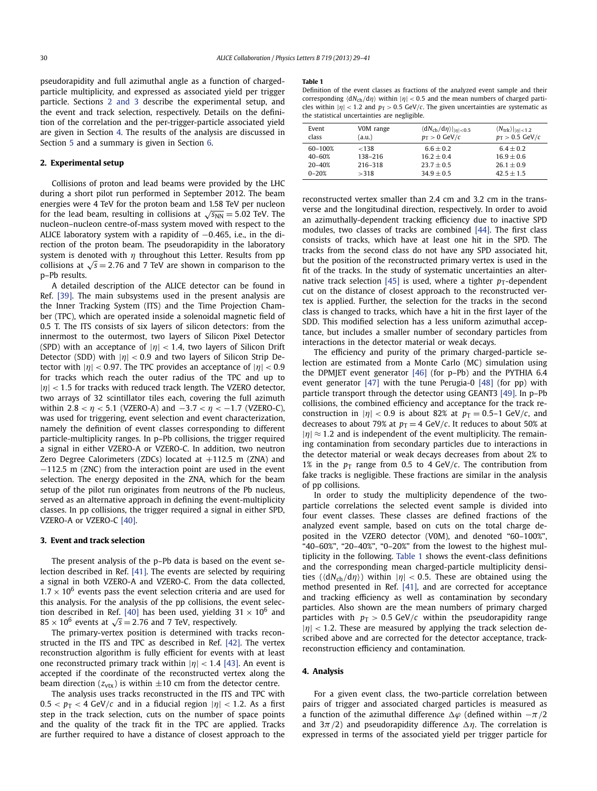<span id="page-1-0"></span>pseudorapidity and full azimuthal angle as a function of chargedparticle multiplicity, and expressed as associated yield per trigger particle. Sections 2 and 3 describe the experimental setup, and the event and track selection, respectively. Details on the definition of the correlation and the per-trigger-particle associated yield are given in Section 4. The results of the analysis are discussed in Section [5](#page-2-0) and a summary is given in Section [6.](#page-5-0)

# **2. Experimental setup**

Collisions of proton and lead beams were provided by the LHC during a short pilot run performed in September 2012. The beam energies were 4 TeV for the proton beam and 1.58 TeV per nucleon for the lead beam, resulting in collisions at  $\sqrt{s_{NN}} = 5.02$  TeV. The nucleon–nucleon centre-of-mass system moved with respect to the ALICE laboratory system with a rapidity of −0*.*465, i.e., in the direction of the proton beam. The pseudorapidity in the laboratory system is denoted with *η* throughout this Letter. Results from pp collisions at  $\sqrt{s}$  = 2.76 and 7 TeV are shown in comparison to the p–Pb results.

A detailed description of the ALICE detector can be found in Ref. [\[39\].](#page-6-0) The main subsystems used in the present analysis are the Inner Tracking System (ITS) and the Time Projection Chamber (TPC), which are operated inside a solenoidal magnetic field of 0.5 T. The ITS consists of six layers of silicon detectors: from the innermost to the outermost, two layers of Silicon Pixel Detector (SPD) with an acceptance of |*η*| *<* <sup>1</sup>*.*4, two layers of Silicon Drift Detector (SDD) with |*η*| *<* <sup>0</sup>*.*9 and two layers of Silicon Strip Detector with  $|\eta|$  < 0.97. The TPC provides an acceptance of  $|\eta|$  < 0.9 for tracks which reach the outer radius of the TPC and up to  $|\eta|$  < 1.5 for tracks with reduced track length. The VZERO detector, two arrays of 32 scintillator tiles each, covering the full azimuth within 2.8 <  $\eta$  < 5.1 (VZERO-A) and  $-3.7 < \eta < -1.7$  (VZERO-C), was used for triggering, event selection and event characterization, namely the definition of event classes corresponding to different particle-multiplicity ranges. In p–Pb collisions, the trigger required a signal in either VZERO-A or VZERO-C. In addition, two neutron Zero Degree Calorimeters (ZDCs) located at  $+112.5$  m (ZNA) and −112.5 m (ZNC) from the interaction point are used in the event selection. The energy deposited in the ZNA, which for the beam setup of the pilot run originates from neutrons of the Pb nucleus, served as an alternative approach in defining the event-multiplicity classes. In pp collisions, the trigger required a signal in either SPD, VZERO-A or VZERO-C [\[40\].](#page-6-0)

# **3. Event and track selection**

The present analysis of the p–Pb data is based on the event selection described in Ref. [\[41\].](#page-6-0) The events are selected by requiring a signal in both VZERO-A and VZERO-C. From the data collected,  $1.7 \times 10^6$  events pass the event selection criteria and are used for this analysis. For the analysis of the pp collisions, the event selec-tion described in Ref. [\[40\]](#page-6-0) has been used, yielding  $31 \times 10^6$  and  $85 \times 10^6$  events at  $\sqrt{s} = 2.76$  and 7 TeV, respectively.

The primary-vertex position is determined with tracks reconstructed in the ITS and TPC as described in Ref. [\[42\].](#page-6-0) The vertex reconstruction algorithm is fully efficient for events with at least one reconstructed primary track within |*η*| *<* <sup>1</sup>*.*<sup>4</sup> [\[43\].](#page-6-0) An event is accepted if the coordinate of the reconstructed vertex along the beam direction ( $z_{\text{vtx}}$ ) is within  $\pm 10$  cm from the detector centre.

The analysis uses tracks reconstructed in the ITS and TPC with  $0.5 < p_T < 4$  GeV/*c* and in a fiducial region  $|\eta| < 1.2$ . As a first step in the track selection, cuts on the number of space points and the quality of the track fit in the TPC are applied. Tracks are further required to have a distance of closest approach to the

#### **Table 1**

Definition of the event classes as fractions of the analyzed event sample and their corresponding  $\langle dN_{ch}/d\eta \rangle$  within  $|\eta| < 0.5$  and the mean numbers of charged particles within  $|\eta| < 1.2$  and  $p_T > 0.5$  GeV/*c*. The given uncertainties are systematic as the statistical uncertainties are negligible.

| Event<br>class | V0M range<br>(a.u.) | $\langle dN_{ch}/d\eta \rangle _{ \eta <0.5}$<br>$p_T > 0$ GeV/c | $\langle N_{\text{trk}} \rangle$   <sub> n &lt;1.2</sub><br>$p_T > 0.5$ GeV/c |
|----------------|---------------------|------------------------------------------------------------------|-------------------------------------------------------------------------------|
| 60-100%        | $<$ 138             | $6.6 + 0.2$                                                      | $6.4 + 0.2$                                                                   |
| $40 - 60%$     | 138-216             | $162 + 04$                                                       | $16.9 + 0.6$                                                                  |
| $20 - 40%$     | 216-318             | $23.7 + 0.5$                                                     | $26.1 + 0.9$                                                                  |
| $0 - 20%$      | >318                | $34.9 + 0.5$                                                     | $42.5 + 1.5$                                                                  |

reconstructed vertex smaller than 2.4 cm and 3.2 cm in the transverse and the longitudinal direction, respectively. In order to avoid an azimuthally-dependent tracking efficiency due to inactive SPD modules, two classes of tracks are combined [\[44\].](#page-6-0) The first class consists of tracks, which have at least one hit in the SPD. The tracks from the second class do not have any SPD associated hit, but the position of the reconstructed primary vertex is used in the fit of the tracks. In the study of systematic uncertainties an alter-native track selection [\[45\]](#page-6-0) is used, where a tighter  $p_T$ -dependent cut on the distance of closest approach to the reconstructed vertex is applied. Further, the selection for the tracks in the second class is changed to tracks, which have a hit in the first layer of the SDD. This modified selection has a less uniform azimuthal acceptance, but includes a smaller number of secondary particles from interactions in the detector material or weak decays.

The efficiency and purity of the primary charged-particle selection are estimated from a Monte Carlo (MC) simulation using the DPMJET event generator [\[46\]](#page-6-0) (for p–Pb) and the PYTHIA 6.4 event generator [\[47\]](#page-6-0) with the tune Perugia-0 [\[48\]](#page-6-0) (for pp) with particle transport through the detector using GEANT3 [\[49\].](#page-6-0) In p–Pb collisions, the combined efficiency and acceptance for the track reconstruction in  $|\eta|$  < 0.9 is about 82% at  $p_T = 0.5-1$  GeV/*c*, and decreases to about 79% at  $p_T = 4$  GeV/*c*. It reduces to about 50% at  $|\eta| \approx 1.2$  and is independent of the event multiplicity. The remaining contamination from secondary particles due to interactions in the detector material or weak decays decreases from about 2% to 1% in the  $p_T$  range from 0.5 to 4 GeV/*c*. The contribution from fake tracks is negligible. These fractions are similar in the analysis of pp collisions.

In order to study the multiplicity dependence of the twoparticle correlations the selected event sample is divided into four event classes. These classes are defined fractions of the analyzed event sample, based on cuts on the total charge deposited in the VZERO detector (V0M), and denoted "60–100%", "40–60%", "20–40%", "0–20%" from the lowest to the highest multiplicity in the following. Table 1 shows the event-class definitions and the corresponding mean charged-particle multiplicity densities ( $\langle dN_{ch}/d\eta \rangle$ ) within  $|\eta|$  < 0.5. These are obtained using the method presented in Ref. [\[41\],](#page-6-0) and are corrected for acceptance and tracking efficiency as well as contamination by secondary particles. Also shown are the mean numbers of primary charged particles with  $p_T > 0.5$  GeV/*c* within the pseudorapidity range  $|\eta|$  < 1.2. These are measured by applying the track selection described above and are corrected for the detector acceptance, trackreconstruction efficiency and contamination.

## **4. Analysis**

For a given event class, the two-particle correlation between pairs of trigger and associated charged particles is measured as a function of the azimuthal difference  $\Delta \varphi$  (defined within  $-\pi/2$ and  $3\pi/2$ ) and pseudorapidity difference  $\Delta \eta$ . The correlation is expressed in terms of the associated yield per trigger particle for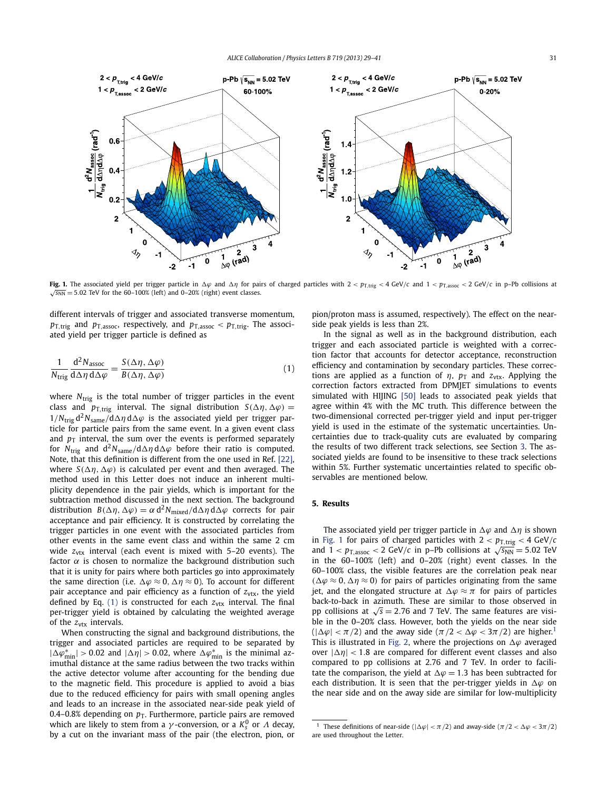<span id="page-2-0"></span>

**Fig. 1.** The associated yield per trigger particle in  $\Delta\varphi$  and  $\Delta\eta$  for pairs of charged particles with  $2 < p_{\rm T,trig} < 4$  GeV/c and  $1 < p_{\rm T,assoc} < 2$  GeV/c in p–Pb collisions at  $\sqrt{s_{NN}}$  = 5.02 TeV for the 60–100% (left) and 0–20% (right) event classes.

different intervals of trigger and associated transverse momentum,  $p_{\text{T},\text{trig}}$  and  $p_{\text{T},\text{assoc}}$ , respectively, and  $p_{\text{T},\text{assoc}} < p_{\text{T},\text{trig}}$ . The associated yield per trigger particle is defined as

$$
\frac{1}{N_{\text{trig}}} \frac{d^2 N_{\text{assoc}}}{d \Delta \eta \, d \Delta \varphi} = \frac{S(\Delta \eta, \Delta \varphi)}{B(\Delta \eta, \Delta \varphi)}
$$
(1)

where *N*<sub>trig</sub> is the total number of trigger particles in the event class and  $p_{T,\text{trig}}$  interval. The signal distribution  $S(\Delta \eta, \Delta \varphi)$  =  $1/N_{\text{trig}} d^2N_{\text{same}}/d\Delta\eta d\Delta\varphi$  is the associated yield per trigger particle for particle pairs from the same event. In a given event class and  $p<sub>T</sub>$  interval, the sum over the events is performed separately for  $N_{\text{trig}}$  and  $d^2N_{\text{same}}/d\Delta\eta\,d\Delta\varphi$  before their ratio is computed. Note, that this definition is different from the one used in Ref. [\[22\],](#page-6-0) where  $S(\Delta \eta, \Delta \varphi)$  is calculated per event and then averaged. The method used in this Letter does not induce an inherent multiplicity dependence in the pair yields, which is important for the subtraction method discussed in the next section. The background distribution  $B(\Delta \eta, \Delta \varphi) = \alpha d^2 N_{\text{mixed}} / d \Delta \eta d \Delta \varphi$  corrects for pair acceptance and pair efficiency. It is constructed by correlating the trigger particles in one event with the associated particles from other events in the same event class and within the same 2 cm wide  $z_{\text{vtx}}$  interval (each event is mixed with 5-20 events). The factor  $\alpha$  is chosen to normalize the background distribution such that it is unity for pairs where both particles go into approximately the same direction (i.e.  $\Delta \varphi \approx 0$ ,  $\Delta \eta \approx 0$ ). To account for different pair acceptance and pair efficiency as a function of  $z_{\text{vtx}}$ , the yield defined by Eq. (1) is constructed for each  $z_{vtx}$  interval. The final per-trigger yield is obtained by calculating the weighted average of the  $z_{\text{vtx}}$  intervals.

When constructing the signal and background distributions, the trigger and associated particles are required to be separated by  $|\Delta \varphi^*_{\text{min}}| > 0.02$  and  $|\Delta \eta| > 0.02$ , where  $\Delta \varphi^*_{\text{min}}$  is the minimal azimuthal distance at the same radius between the two tracks within the active detector volume after accounting for the bending due to the magnetic field. This procedure is applied to avoid a bias due to the reduced efficiency for pairs with small opening angles and leads to an increase in the associated near-side peak yield of 0.4–0.8% depending on  $p<sub>T</sub>$ . Furthermore, particle pairs are removed which are likely to stem from a  $\gamma$ -conversion, or a  $K^0_s$  or  $\varLambda$  decay, by a cut on the invariant mass of the pair (the electron, pion, or pion/proton mass is assumed, respectively). The effect on the nearside peak yields is less than 2%.

In the signal as well as in the background distribution, each trigger and each associated particle is weighted with a correction factor that accounts for detector acceptance, reconstruction efficiency and contamination by secondary particles. These corrections are applied as a function of  $\eta$ ,  $p_T$  and  $z_{vtx}$ . Applying the correction factors extracted from DPMJET simulations to events simulated with HIJING [\[50\]](#page-6-0) leads to associated peak yields that agree within 4% with the MC truth. This difference between the two-dimensional corrected per-trigger yield and input per-trigger yield is used in the estimate of the systematic uncertainties. Uncertainties due to track-quality cuts are evaluated by comparing the results of two different track selections, see Section [3.](#page-1-0) The associated yields are found to be insensitive to these track selections within 5%. Further systematic uncertainties related to specific observables are mentioned below.

# **5. Results**

The associated yield per trigger particle in  $\Delta\varphi$  and  $\Delta\eta$  is shown in Fig. 1 for pairs of charged particles with  $2 < p_{\text{T,trig}} < 4 \text{ GeV}/c$ and  $1 < p_{T,assoc} < 2$  GeV/*c* in p–Pb collisions at  $\sqrt{s_{NN}} = 5.02$  TeV in the 60–100% (left) and 0–20% (right) event classes. In the 60–100% class, the visible features are the correlation peak near  $(\Delta \varphi \approx 0, \Delta \eta \approx 0)$  for pairs of particles originating from the same jet, and the elongated structure at  $\Delta \varphi \approx \pi$  for pairs of particles back-to-back in azimuth. These are similar to those observed in pp collisions at  $\sqrt{s}$  = 2.76 and 7 TeV. The same features are visible in the 0–20% class. However, both the yields on the near side  $(|\Delta \varphi| < \pi/2)$  and the away side  $(\pi/2 < \Delta \varphi < 3\pi/2)$  are higher.<sup>1</sup> This is illustrated in [Fig. 2,](#page-3-0) where the projections on  $\Delta\varphi$  averaged over  $|\Delta \eta|$  < 1.8 are compared for different event classes and also compared to pp collisions at 2.76 and 7 TeV. In order to facilitate the comparison, the yield at  $\Delta \varphi = 1.3$  has been subtracted for each distribution. It is seen that the per-trigger yields in  $\Delta\varphi$  on the near side and on the away side are similar for low-multiplicity

<sup>&</sup>lt;sup>1</sup> These definitions of near-side ( $|\Delta \varphi| < \pi/2$ ) and away-side ( $\pi/2 < \Delta \varphi < 3\pi/2$ ) are used throughout the Letter.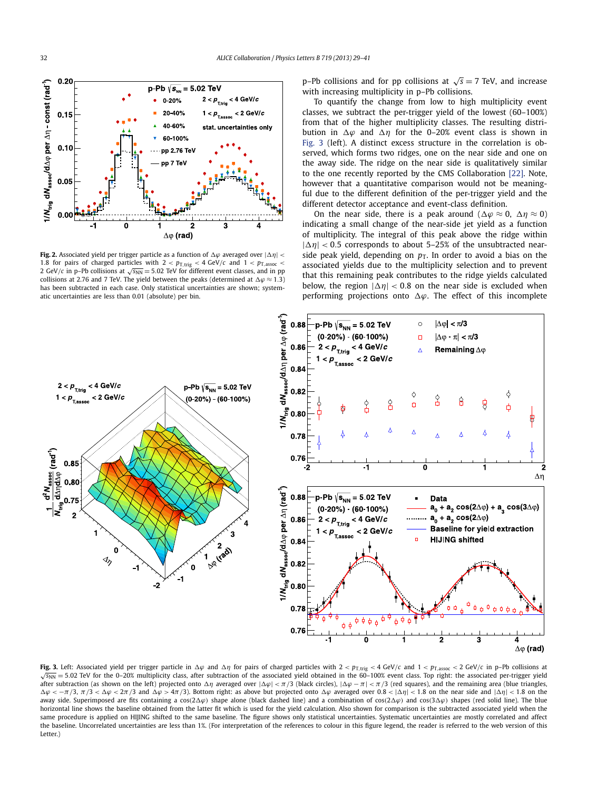<span id="page-3-0"></span>

**Fig. 2.** Associated yield per trigger particle as a function of  $\Delta\varphi$  averaged over  $|\Delta\eta|$  < 1.8 for pairs of charged particles with  $2 < p_{T,trig} < 4$  GeV/*c* and  $1 < p_{T,assoc} < 1$ 2 GeV/*c* in p–Pb collisions at  $\sqrt{s_{NN}}$  = 5.02 TeV for different event classes, and in pp collisions at 2.76 and 7 TeV. The yield between the peaks (determined at  $\Delta\varphi \approx 1.3$ ) has been subtracted in each case. Only statistical uncertainties are shown; systematic uncertainties are less than 0.01 (absolute) per bin.

p–Pb collisions and for pp collisions at  $\sqrt{s}$  = 7 TeV, and increase with increasing multiplicity in p–Pb collisions.

To quantify the change from low to high multiplicity event classes, we subtract the per-trigger yield of the lowest (60–100%) from that of the higher multiplicity classes. The resulting distribution in  $\Delta\varphi$  and  $\Delta\eta$  for the 0–20% event class is shown in Fig. 3 (left). A distinct excess structure in the correlation is observed, which forms two ridges, one on the near side and one on the away side. The ridge on the near side is qualitatively similar to the one recently reported by the CMS Collaboration [\[22\].](#page-6-0) Note, however that a quantitative comparison would not be meaningful due to the different definition of the per-trigger yield and the different detector acceptance and event-class definition.

On the near side, there is a peak around ( $\Delta \varphi \approx 0$ ,  $\Delta \eta \approx 0$ ) indicating a small change of the near-side jet yield as a function of multiplicity. The integral of this peak above the ridge within  $|\Delta \eta|$  < 0.5 corresponds to about 5–25% of the unsubtracted nearside peak yield, depending on  $p<sub>T</sub>$ . In order to avoid a bias on the associated yields due to the multiplicity selection and to prevent that this remaining peak contributes to the ridge yields calculated below, the region  $|\Delta \eta| < 0.8$  on the near side is excluded when performing projections onto  $\Delta\varphi$ . The effect of this incomplete



**Fig. 3.** Left: Associated yield per trigger particle in  $\Delta\varphi$  and  $\Delta\eta$  for pairs of charged particles with 2 <  $p_{\rm T,trig}$  < 4 GeV/c and 1 <  $p_{\rm T,assoc}$  < 2 GeV/c in p-Pb collisions at √<sub>SNN</sub> = 5.02 TeV for the 0–20% multiplicity class, after subtraction of the associated yield obtained in the 60–100% event class. Top right: the associated per-trigger yield after subtraction (as shown on the left) projected onto  $\Delta \eta$  averaged over  $|\Delta \varphi| < \pi/3$  (black circles),  $|\Delta \varphi - \pi| < \pi/3$  (red squares), and the remaining area (blue triangles  $\Delta\varphi < -\pi/3$ ,  $\pi/3 < \Delta\varphi < 2\pi/3$  and  $\Delta\varphi > 4\pi/3$ ). Bottom right: as above but projected onto  $\Delta\varphi$  averaged over  $0.8 < |\Delta\eta| < 1.8$  on the near side and  $|\Delta\eta| < 1.8$  on the away side. Superimposed are fits containing a cos(2 $\Delta\varphi$ ) shape alone (black dashed line) and a combination of cos(2 $\Delta\varphi$ ) and cos(3 $\Delta\varphi$ ) shapes (red solid line). The blue horizontal line shows the baseline obtained from the latter fit which is used for the yield calculation. Also shown for comparison is the subtracted associated yield when the same procedure is applied on HIJING shifted to the same baseline. The figure shows only statistical uncertainties. Systematic uncertainties are mostly correlated and affect the baseline. Uncorrelated uncertainties are less than 1%. (For interpretation of the references to colour in this figure legend, the reader is referred to the web version of this Letter.)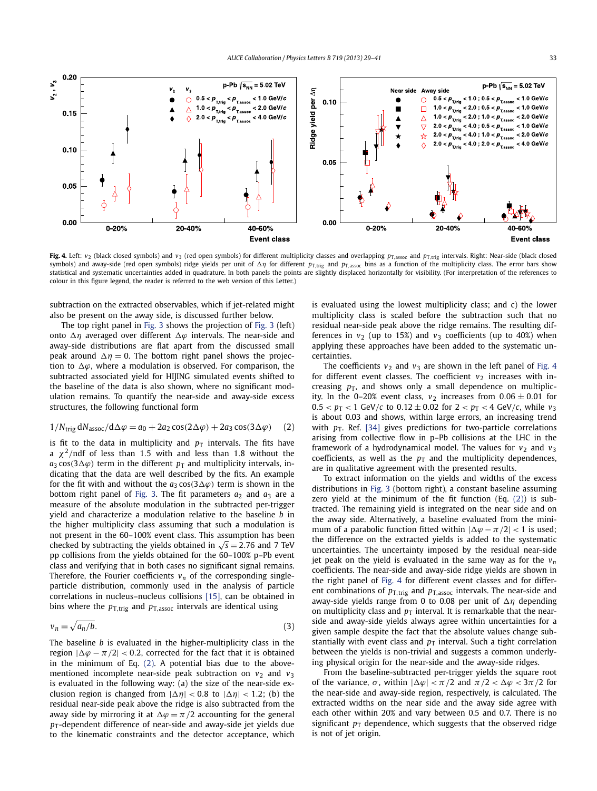

Fig. 4. Left:  $v_2$  (black closed symbols) and  $v_3$  (red open symbols) for different multiplicity classes and overlapping  $p_{T,assoc}$  and  $p_{T,trig}$  intervals. Right: Near-side (black closed symbols) and away-side (red open symbols) ridge yields per unit of Δη for different  $p_{\text{T,trig}}$  and  $p_{\text{T,assoc}}$  bins as a function of the multiplicity class. The error bars show statistical and systematic uncertainties added in quadrature. In both panels the points are slightly displaced horizontally for visibility. (For interpretation of the references to colour in this figure legend, the reader is referred to the web version of this Letter.)

subtraction on the extracted observables, which if jet-related might also be present on the away side, is discussed further below.

The top right panel in [Fig. 3](#page-3-0) shows the projection of [Fig. 3](#page-3-0) (left) onto  $\Delta \eta$  averaged over different  $\Delta \varphi$  intervals. The near-side and away-side distributions are flat apart from the discussed small peak around  $\Delta \eta = 0$ . The bottom right panel shows the projection to  $\Delta\varphi$ , where a modulation is observed. For comparison, the subtracted associated yield for HIJING simulated events shifted to the baseline of the data is also shown, where no significant modulation remains. To quantify the near-side and away-side excess structures, the following functional form

$$
1/N_{\text{trig}} dN_{\text{assoc}} / d\Delta\varphi = a_0 + 2a_2 \cos(2\Delta\varphi) + 2a_3 \cos(3\Delta\varphi) \quad (2)
$$

is fit to the data in multiplicity and  $p<sub>T</sub>$  intervals. The fits have a  $\chi^2$ /ndf of less than 1.5 with and less than 1.8 without the  $a_3 \cos(3\Delta\varphi)$  term in the different  $p_T$  and multiplicity intervals, indicating that the data are well described by the fits. An example for the fit with and without the  $a_3 \cos(3\Delta\varphi)$  term is shown in the bottom right panel of [Fig. 3.](#page-3-0) The fit parameters  $a_2$  and  $a_3$  are a measure of the absolute modulation in the subtracted per-trigger yield and characterize a modulation relative to the baseline *b* in the higher multiplicity class assuming that such a modulation is not present in the 60–100% event class. This assumption has been checked by subtracting the yields obtained in  $\sqrt{s} = 2.76$  and 7 TeV pp collisions from the yields obtained for the 60–100% p–Pb event class and verifying that in both cases no significant signal remains. Therefore, the Fourier coefficients  $v_n$  of the corresponding singleparticle distribution, commonly used in the analysis of particle correlations in nucleus–nucleus collisions [\[15\],](#page-6-0) can be obtained in bins where the  $p_{T,trig}$  and  $p_{T,assoc}$  intervals are identical using

$$
v_n = \sqrt{a_n/b}.\tag{3}
$$

The baseline *b* is evaluated in the higher-multiplicity class in the region  $|\Delta \varphi - \pi/2|$  < 0.2, corrected for the fact that it is obtained in the minimum of Eq. (2). A potential bias due to the abovementioned incomplete near-side peak subtraction on  $v_2$  and  $v_3$ is evaluated in the following way: (a) the size of the near-side exclusion region is changed from  $|\Delta \eta| < 0.8$  to  $|\Delta \eta| < 1.2$ ; (b) the residual near-side peak above the ridge is also subtracted from the away side by mirroring it at  $\Delta \varphi = \pi/2$  accounting for the general *p*T-dependent difference of near-side and away-side jet yields due to the kinematic constraints and the detector acceptance, which is evaluated using the lowest multiplicity class; and c) the lower multiplicity class is scaled before the subtraction such that no residual near-side peak above the ridge remains. The resulting differences in  $v_2$  (up to 15%) and  $v_3$  coefficients (up to 40%) when applying these approaches have been added to the systematic uncertainties.

The coefficients  $v_2$  and  $v_3$  are shown in the left panel of Fig. 4 for different event classes. The coefficient  $v_2$  increases with increasing  $p_T$ , and shows only a small dependence on multiplicity. In the 0-20% event class,  $v_2$  increases from  $0.06 \pm 0.01$  for  $0.5 < p_T < 1$  GeV/*c* to  $0.12 \pm 0.02$  for  $2 < p_T < 4$  GeV/*c*, while  $v_3$ is about 0.03 and shows, within large errors, an increasing trend with  $p_T$ . Ref. [\[34\]](#page-6-0) gives predictions for two-particle correlations arising from collective flow in p–Pb collisions at the LHC in the framework of a hydrodynamical model. The values for  $v_2$  and  $v_3$ coefficients, as well as the  $p<sub>T</sub>$  and the multiplicity dependences, are in qualitative agreement with the presented results.

To extract information on the yields and widths of the excess distributions in [Fig. 3](#page-3-0) (bottom right), a constant baseline assuming zero yield at the minimum of the fit function (Eq. (2)) is subtracted. The remaining yield is integrated on the near side and on the away side. Alternatively, a baseline evaluated from the minimum of a parabolic function fitted within  $|\Delta \varphi - \pi/2| < 1$  is used; the difference on the extracted yields is added to the systematic uncertainties. The uncertainty imposed by the residual near-side jet peak on the yield is evaluated in the same way as for the  $v_n$ coefficients. The near-side and away-side ridge yields are shown in the right panel of Fig. 4 for different event classes and for different combinations of  $p_{T,\text{trig}}$  and  $p_{T,\text{assoc}}$  intervals. The near-side and away-side yields range from 0 to 0.08 per unit of  $\Delta \eta$  depending on multiplicity class and  $p<sub>T</sub>$  interval. It is remarkable that the nearside and away-side yields always agree within uncertainties for a given sample despite the fact that the absolute values change substantially with event class and  $p<sub>T</sub>$  interval. Such a tight correlation between the yields is non-trivial and suggests a common underlying physical origin for the near-side and the away-side ridges.

From the baseline-subtracted per-trigger yields the square root of the variance,  $\sigma$ , within  $|\Delta \varphi| < \pi/2$  and  $\pi/2 < \Delta \varphi < 3\pi/2$  for the near-side and away-side region, respectively, is calculated. The extracted widths on the near side and the away side agree with each other within 20% and vary between 0.5 and 0.7. There is no significant  $p_T$  dependence, which suggests that the observed ridge is not of jet origin.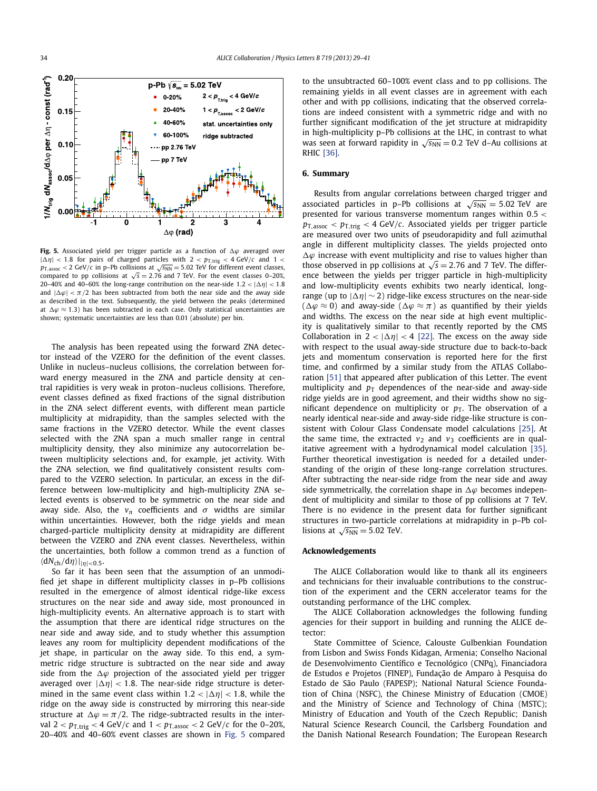<span id="page-5-0"></span>

**Fig. 5.** Associated yield per trigger particle as a function of  $\Delta\varphi$  averaged over  $|\Delta \eta|$  < 1.8 for pairs of charged particles with  $2 < p_{\text{T,trig}} < 4 \text{ GeV/c}$  and  $1 <$  $p_{\text{T,assoc}} < 2 \text{ GeV}/c$  in p–Pb collisions at  $\sqrt{s_{NN}} = 5.02 \text{ TeV}$  for different event classes, compared to pp collisions at  $\sqrt{s}$  = 2.76 and 7 TeV. For the event classes 0–20%, 20–40% and 40–60% the long-range contribution on the near-side  $1.2 < |\Delta \eta| < 1.8$ and  $|\Delta \varphi| < \pi/2$  has been subtracted from both the near side and the away side as described in the text. Subsequently, the yield between the peaks (determined at  $\Delta\varphi \approx 1.3$ ) has been subtracted in each case. Only statistical uncertainties are shown; systematic uncertainties are less than 0.01 (absolute) per bin.

The analysis has been repeated using the forward ZNA detector instead of the VZERO for the definition of the event classes. Unlike in nucleus–nucleus collisions, the correlation between forward energy measured in the ZNA and particle density at central rapidities is very weak in proton–nucleus collisions. Therefore, event classes defined as fixed fractions of the signal distribution in the ZNA select different events, with different mean particle multiplicity at midrapidity, than the samples selected with the same fractions in the VZERO detector. While the event classes selected with the ZNA span a much smaller range in central multiplicity density, they also minimize any autocorrelation between multiplicity selections and, for example, jet activity. With the ZNA selection, we find qualitatively consistent results compared to the VZERO selection. In particular, an excess in the difference between low-multiplicity and high-multiplicity ZNA selected events is observed to be symmetric on the near side and away side. Also, the  $v_n$  coefficients and  $\sigma$  widths are similar within uncertainties. However, both the ridge yields and mean charged-particle multiplicity density at midrapidity are different between the VZERO and ZNA event classes. Nevertheless, within the uncertainties, both follow a common trend as a function of  $\langle dN_{ch}/d\eta \rangle$ |<sub>|η|<0.5</sub>.

So far it has been seen that the assumption of an unmodified jet shape in different multiplicity classes in p–Pb collisions resulted in the emergence of almost identical ridge-like excess structures on the near side and away side, most pronounced in high-multiplicity events. An alternative approach is to start with the assumption that there are identical ridge structures on the near side and away side, and to study whether this assumption leaves any room for multiplicity dependent modifications of the jet shape, in particular on the away side. To this end, a symmetric ridge structure is subtracted on the near side and away side from the  $\Delta\varphi$  projection of the associated yield per trigger averaged over  $|\Delta \eta| < 1.8$ . The near-side ridge structure is determined in the same event class within  $1.2 < |\Delta \eta| < 1.8$ , while the ridge on the away side is constructed by mirroring this near-side structure at  $\Delta \varphi = \pi/2$ . The ridge-subtracted results in the interval  $2 < p_{\text{T,trig}} < 4$  GeV/*c* and  $1 < p_{\text{T,assoc}} < 2$  GeV/*c* for the 0–20%, 20–40% and 40–60% event classes are shown in Fig. 5 compared

to the unsubtracted 60–100% event class and to pp collisions. The remaining yields in all event classes are in agreement with each other and with pp collisions, indicating that the observed correlations are indeed consistent with a symmetric ridge and with no further significant modification of the jet structure at midrapidity in high-multiplicity p–Pb collisions at the LHC, in contrast to what was seen at forward rapidity in  $\sqrt{s_{NN}} = 0.2$  TeV d–Au collisions at RHIC [\[36\].](#page-6-0)

# **6. Summary**

Results from angular correlations between charged trigger and associated particles in p–Pb collisions at  $\sqrt{s_{NN}} = 5.02$  TeV are presented for various transverse momentum ranges within 0*.*5 *<*  $p_{\text{T,assoc}} < p_{\text{T,trig}} < 4$  GeV/*c*. Associated yields per trigger particle are measured over two units of pseudorapidity and full azimuthal angle in different multiplicity classes. The yields projected onto  $\Delta\varphi$  increase with event multiplicity and rise to values higher than those observed in pp collisions at  $\sqrt{s}$  = 2.76 and 7 TeV. The difference between the yields per trigger particle in high-multiplicity and low-multiplicity events exhibits two nearly identical, longrange (up to  $|\Delta \eta| \sim 2$ ) ridge-like excess structures on the near-side  $(\Delta \varphi \approx 0)$  and away-side  $(\Delta \varphi \approx \pi)$  as quantified by their yields and widths. The excess on the near side at high event multiplicity is qualitatively similar to that recently reported by the CMS Collaboration in  $2 < |\Delta \eta| < 4$  [\[22\].](#page-6-0) The excess on the away side with respect to the usual away-side structure due to back-to-back jets and momentum conservation is reported here for the first time, and confirmed by a similar study from the ATLAS Collaboration [\[51\]](#page-6-0) that appeared after publication of this Letter. The event multiplicity and  $p_T$  dependences of the near-side and away-side ridge yields are in good agreement, and their widths show no significant dependence on multiplicity or  $p<sub>T</sub>$ . The observation of a nearly identical near-side and away-side ridge-like structure is consistent with Colour Glass Condensate model calculations [\[25\].](#page-6-0) At the same time, the extracted  $v_2$  and  $v_3$  coefficients are in qualitative agreement with a hydrodynamical model calculation [\[35\].](#page-6-0) Further theoretical investigation is needed for a detailed understanding of the origin of these long-range correlation structures. After subtracting the near-side ridge from the near side and away side symmetrically, the correlation shape in  $\Delta\varphi$  becomes independent of multiplicity and similar to those of pp collisions at 7 TeV. There is no evidence in the present data for further significant structures in two-particle correlations at midrapidity in p–Pb collisions at  $\sqrt{s_{NN}}$  = 5.02 TeV.

# **Acknowledgements**

The ALICE Collaboration would like to thank all its engineers and technicians for their invaluable contributions to the construction of the experiment and the CERN accelerator teams for the outstanding performance of the LHC complex.

The ALICE Collaboration acknowledges the following funding agencies for their support in building and running the ALICE detector:

State Committee of Science, Calouste Gulbenkian Foundation from Lisbon and Swiss Fonds Kidagan, Armenia; Conselho Nacional de Desenvolvimento Científico e Tecnológico (CNPq), Financiadora de Estudos e Projetos (FINEP), Fundação de Amparo à Pesquisa do Estado de São Paulo (FAPESP); National Natural Science Foundation of China (NSFC), the Chinese Ministry of Education (CMOE) and the Ministry of Science and Technology of China (MSTC); Ministry of Education and Youth of the Czech Republic; Danish Natural Science Research Council, the Carlsberg Foundation and the Danish National Research Foundation; The European Research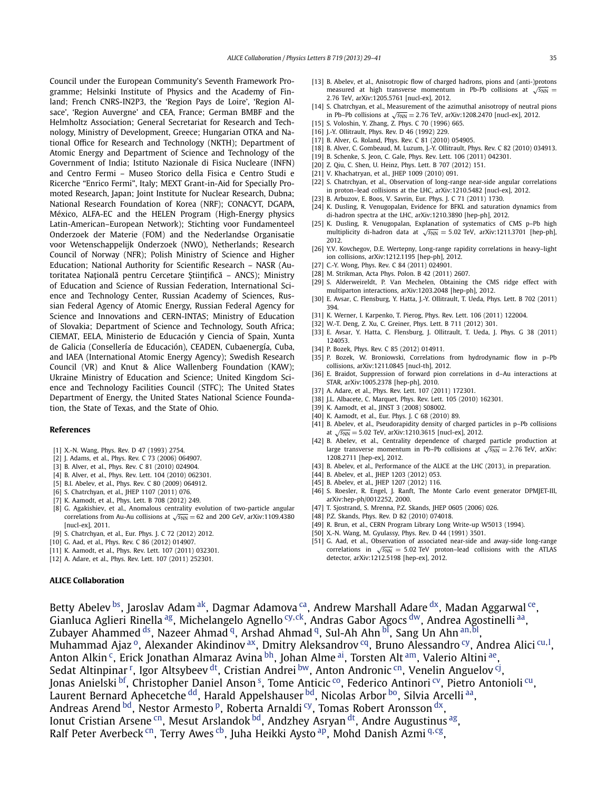<span id="page-6-0"></span>Council under the European Community's Seventh Framework Programme; Helsinki Institute of Physics and the Academy of Finland; French CNRS-IN2P3, the 'Region Pays de Loire', 'Region Alsace', 'Region Auvergne' and CEA, France; German BMBF and the Helmholtz Association; General Secretariat for Research and Technology, Ministry of Development, Greece; Hungarian OTKA and National Office for Research and Technology (NKTH); Department of Atomic Energy and Department of Science and Technology of the Government of India; Istituto Nazionale di Fisica Nucleare (INFN) and Centro Fermi – Museo Storico della Fisica e Centro Studi e Ricerche "Enrico Fermi", Italy; MEXT Grant-in-Aid for Specially Promoted Research, Japan; Joint Institute for Nuclear Research, Dubna; National Research Foundation of Korea (NRF); CONACYT, DGAPA, México, ALFA-EC and the HELEN Program (High-Energy physics Latin-American–European Network); Stichting voor Fundamenteel Onderzoek der Materie (FOM) and the Nederlandse Organisatie voor Wetenschappelijk Onderzoek (NWO), Netherlands; Research Council of Norway (NFR); Polish Ministry of Science and Higher Education; National Authority for Scientific Research – NASR (Autoritatea Națională pentru Cercetare Științifică - ANCS); Ministry of Education and Science of Russian Federation, International Science and Technology Center, Russian Academy of Sciences, Russian Federal Agency of Atomic Energy, Russian Federal Agency for Science and Innovations and CERN-INTAS; Ministry of Education of Slovakia; Department of Science and Technology, South Africa; CIEMAT, EELA, Ministerio de Educación y Ciencia of Spain, Xunta de Galicia (Consellería de Educación), CEADEN, Cubaenergía, Cuba, and IAEA (International Atomic Energy Agency); Swedish Research Council (VR) and Knut & Alice Wallenberg Foundation (KAW); Ukraine Ministry of Education and Science; United Kingdom Science and Technology Facilities Council (STFC); The United States Department of Energy, the United States National Science Foundation, the State of Texas, and the State of Ohio.

# **References**

- [1] X.-N. Wang, Phys. Rev. D 47 (1993) 2754.
- [2] J. Adams, et al., Phys. Rev. C 73 (2006) 064907.
- [3] B. Alver, et al., Phys. Rev. C 81 (2010) 024904.
- [4] B. Alver, et al., Phys. Rev. Lett. 104 (2010) 062301.
- [5] B.I. Abelev, et al., Phys. Rev. C 80 (2009) 064912.
- [6] S. Chatrchyan, et al., JHEP 1107 (2011) 076.
- [7] K. Aamodt, et al., Phys. Lett. B 708 (2012) 249.
- [8] G. Agakishiev, et al., Anomalous centrality evolution of two-particle angular correlations from Au-Au collisions at  $\sqrt{s_{NN}}$  = 62 and 200 GeV, arXiv:1109.4380 [nucl-ex], 2011.
- [9] S. Chatrchyan, et al., Eur. Phys. J. C 72 (2012) 2012.
- [10] G. Aad, et al., Phys. Rev. C 86 (2012) 014907.
- [11] K. Aamodt, et al., Phys. Rev. Lett. 107 (2011) 032301.
- [12] A. Adare, et al., Phys. Rev. Lett. 107 (2011) 252301.

# **ALICE Collaboration**

- [13] B. Abelev, et al., Anisotropic flow of charged hadrons, pions and (anti-)protons measured at high transverse momentum in Pb-Pb collisions at  $\sqrt{s_{NN}}$ 2*.*76 TeV, arXiv:1205.5761 [nucl-ex], 2012.
- [14] S. Chatrchyan, et al., Measurement of the azimuthal anisotropy of neutral pions in Pb–Pb collisions at  $\sqrt{s_{NN}}$  = 2.76 TeV, arXiv:1208.2470 [nucl-ex], 2012.
- [15] S. Voloshin, Y. Zhang, Z. Phys. C 70 (1996) 665.
- [16] J.-Y. Ollitrault, Phys. Rev. D 46 (1992) 229.
- [17] B. Alver, G. Roland, Phys. Rev. C 81 (2010) 054905.
- [18] B. Alver, C. Gombeaud, M. Luzum, J.-Y. Ollitrault, Phys. Rev. C 82 (2010) 034913.
- [19] B. Schenke, S. Jeon, C. Gale, Phys. Rev. Lett. 106 (2011) 042301.
- [20] Z. Qiu, C. Shen, U. Heinz, Phys. Lett. B 707 (2012) 151.
- [21] V. Khachatryan, et al., JHEP 1009 (2010) 091.
- [22] S. Chatrchyan, et al., Observation of long-range near-side angular correlations in proton–lead collisions at the LHC, arXiv:1210.5482 [nucl-ex], 2012.
- [23] B. Arbuzov, E. Boos, V. Savrin, Eur. Phys. J. C 71 (2011) 1730.
- [24] K. Dusling, R. Venugopalan, Evidence for BFKL and saturation dynamics from di-hadron spectra at the LHC, arXiv:1210.3890 [hep-ph], 2012.
- K. Dusling, R. Venugopalan, Explanation of systematics of CMS p-Pb high multiplicity di-hadron data at  $\sqrt{s_{NN}} = 5.02$  TeV, arXiv:1211.3701 [hep-ph], 2012.
- [26] Y.V. Kovchegov, D.E. Wertepny, Long-range rapidity correlations in heavy–light ion collisions, arXiv:1212.1195 [hep-ph], 2012.
- [27] C.-Y. Wong, Phys. Rev. C 84 (2011) 024901.
- [28] M. Strikman, Acta Phys. Polon. B 42 (2011) 2607.
- [29] S. Alderweireldt, P. Van Mechelen, Obtaining the CMS ridge effect with multiparton interactions, arXiv:1203.2048 [hep-ph], 2012.
- [30] E. Avsar, C. Flensburg, Y. Hatta, J.-Y. Ollitrault, T. Ueda, Phys. Lett. B 702 (2011) 394.
- [31] K. Werner, I. Karpenko, T. Pierog, Phys. Rev. Lett. 106 (2011) 122004.
- [32] W.-T. Deng, Z. Xu, C. Greiner, Phys. Lett. B 711 (2012) 301.
- [33] E. Avsar, Y. Hatta, C. Flensburg, J. Ollitrault, T. Ueda, J. Phys. G 38 (2011) 124053.
- [34] P. Bozek, Phys. Rev. C 85 (2012) 014911.
- [35] P. Bozek, W. Broniowski, Correlations from hydrodynamic flow in p-Pb collisions, arXiv:1211.0845 [nucl-th], 2012.
- [36] E. Braidot, Suppression of forward pion correlations in d–Au interactions at STAR, arXiv:1005.2378 [hep-ph], 2010.
- [37] A. Adare, et al., Phys. Rev. Lett. 107 (2011) 172301.
- [38] J.L. Albacete, C. Marquet, Phys. Rev. Lett. 105 (2010) 162301.
- [39] K. Aamodt, et al., JINST 3 (2008) S08002.
- [40] K. Aamodt, et al., Eur. Phys. J. C 68 (2010) 89.
- [41] B. Abelev, et al., Pseudorapidity density of charged particles in p–Pb collisions at  $\sqrt{s_{NN}}$  = 5.02 TeV, arXiv:1210.3615 [nucl-ex], 2012.
- [42] B. Abelev, et al., Centrality dependence of charged particle production at large transverse momentum in Pb–Pb collisions at  $\sqrt{s_{NN}} = 2.76$  TeV, arXiv: 1208.2711 [hep-ex], 2012.
- [43] B. Abelev, et al., Performance of the ALICE at the LHC (2013), in preparation.
- [44] B. Abelev, et al., JHEP 1203 (2012) 053.
- [45] B. Abelev, et al., JHEP 1207 (2012) 116.
- [46] S. Roesler, R. Engel, J. Ranft, The Monte Carlo event generator DPMJET-III, arXiv:hep-ph/0012252, 2000.
- [47] T. Sjostrand, S. Mrenna, P.Z. Skands, JHEP 0605 (2006) 026.
- [48] P.Z. Skands, Phys. Rev. D 82 (2010) 074018.
- [49] R. Brun, et al., CERN Program Library Long Write-up W5013 (1994).
- [50] X.-N. Wang, M. Gyulassy, Phys. Rev. D 44 (1991) 3501.
- [51] G. Aad, et al., Observation of associated near-side and away-side long-range correlations in  $\sqrt{s_{NN}} = 5.02$  TeV proton–lead collisions with the ATLAS detector, arXiv:1212.5198 [hep-ex], 2012.

Betty Abelev <sup>bs</sup>, Jaroslav Adam <sup>ak</sup>, Dagmar Adamova <sup>ca</sup>, Andrew Marshall Adare <sup>dx</sup>, Madan Aggarwal <sup>ce</sup>, Gianluca Aglieri Rinella <sup>ag</sup>, Michelangelo Agnello <sup>[cy](#page-12-0),ck</sup>, Andras Gabor Agocs <sup>dw</sup>, Andrea Agostinelli <sup>aa</sup>, Zubayer Ahammed <sup>ds</sup>, Nazeer Ahmad <sup>q</sup>, Arshad Ahmad <sup>q</sup>, Sul-Ah Ahn <sup>bl</sup>, S[an](#page-11-0)g Un Ahn <sup>an, bl</sup>, Muhammad Ajaz <sup>o</sup>, Alexander Akindinov <sup>[ax](#page-11-0)</sup>, Dmitry Aleksandrov <sup>cq</sup>, Bruno Alessandro <sup>cy</sup>, Andrea Alici <sup>[cu](#page-12-0), [l](#page-11-0)</sup>, Anton Alkin<sup>c</sup>, Erick Jonathan Almaraz Avina <sup>bh</sup>, Johan Alme [ai,](#page-11-0) Torsten Alt [am,](#page-11-0) Valerio Altini [ae,](#page-11-0) Sedat Altinpina[r](#page-11-0) <sup>r</sup>, Igor Altsybeev <sup>[dt](#page-12-0)</sup>, Cristian Andrei <sup>[bw](#page-11-0)</sup>, Anton Andronic <sup>cn</sup>, Venelin Anguelov <sup>cj</sup>, Jonas Anielski <sup>[bf](#page-11-0)</[s](#page-11-0)up>, Christopher Daniel Anson <sup>s</sup>, Tome Anticic <sup>co</sup>, Federico Antinori <sup>cv</sup>, Pietro Antonioli <sup>cu</sup>, Laurent Bernard Aphecetche <sup>dd</sup>, Harald Appelshauser [bd,](#page-11-0) Nicolas Arbor <sup>bo</sup>, Silvia Arcelli<sup>aa</sup>, Andreas Arend  $\rm{^{bd}}$ , Nestor Armesto  $\rm{^{p}}$ , Roberta Arnaldi  $\rm{^{cy}}$  $\rm{^{cy}}$  $\rm{^{cy}}$ , Tomas Robert Aronsson  $\rm{^{dx}}$ , Ionut Cristian Arsene Cn, Mesut Arslandok [bd,](#page-11-0) Andzhey Asryan [dt,](#page-12-0) Andre Augustinus [ag,](#page-11-0) Ralf Peter Averbeck <sup>cn</sup>, Terry Awes <sup>cb</sup>, Juha Heikki Aysto <sup>ap</sup>, Mohd Danish Azmi <sup>[q](#page-11-0), cg</sup>,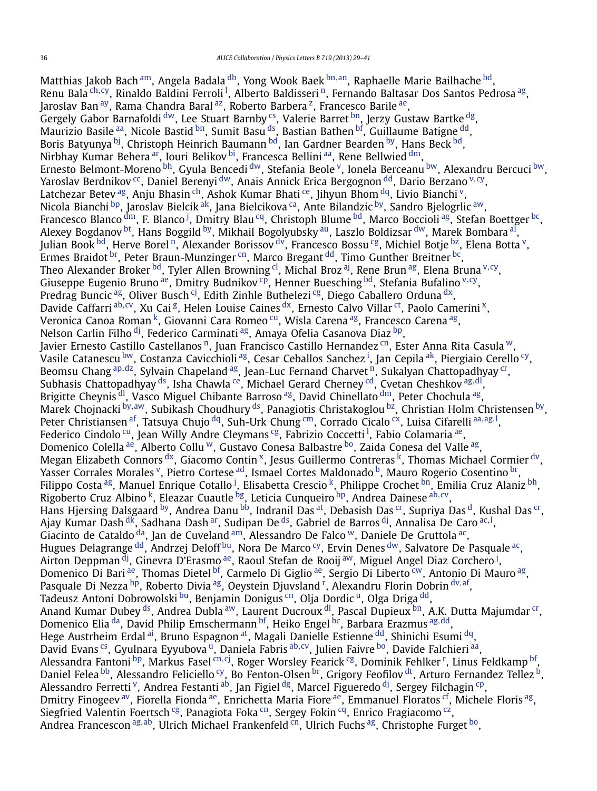Matthias Jakob Bach [am,](#page-11-0) Angela Badala [db,](#page-12-0) Yong Wook Baek [bn](#page-11-0), [an](#page-11-0), Raphaelle Marie Bailhache [bd,](#page-11-0) Renu Bala<sup>[ch](#page-12-0),cy</sup>, Rina[l](#page-11-0)do Baldini Ferroli <sup>I</sup>, Alberto Baldisseri <sup>n</sup>, Fernando Baltasar Dos Santos Pedrosa <sup>ag</sup>, Jaroslav Ban <sup>ay</sup>, Rama Chandra Baral <sup>az</sup>, Roberto Barbera <sup>z</sup>, Francesco Barile <sup>ae</sup>, Gergely Gabor Barnafoldi <sup>dw</sup>, Lee Stuart Barnby <sup>cs</sup>, Valerie Barret <sup>bn</sup>, Jerzy Gustaw Bartke <sup>dg</sup>, Maurizio Basile <sup>aa</sup>, Nicole Bastid <sup>bn</sup>, Sumit Basu <sup>ds</sup>, Bastian Bathen <sup>bf</sup>, Guillaume Batigne <sup>dd</sup>, Boris Batyunya <sup>bj</sup>, Christoph Heinrich Baumann <sup>bd</sup>, Ian Gardner Bearden <sup>by</sup>, Hans Beck <sup>bd</sup>, Nirbhay Kumar Behera  $\frac{d}{dx}$ , Iouri Belikov  $\frac{b}{dx}$ , Francesca Bellini  $\frac{d}{dx}$ , Rene Bellwied  $\frac{dm}{dx}$ , Ernesto Belmont-Moreno [bh,](#page-11-0) Gyula Bencedi<sup>dw</sup>, Stefania Beole <sup>v</sup>, Ionela Berceanu [bw,](#page-11-0) Alexandru Bercuci bw, Yarosla[v](#page-11-0) Berdnikov<sup>cc</sup>, Daniel Berenyi<sup>dw</sup>, Anais Annick Erica Bergognon<sup>dd</sup>, Dario Berzano<sup>v, cy</sup>, Latchezar Betev<sup>[ag](#page-11-0)</sup>, Anju Bhasin <sup>ch</sup>, Ashok Kumar Bhati <sup>[ce](#page-11-0)</sup>, Jihyun Bhom <sup>dq</sup>, Livio Bianchi <sup>v</sup>, Nicola Bianchi <sup>[bp](#page-11-0)</sup>, Jaroslav Bielcik <sup>ak</sup>, Jana Bielcikova<sup>ca</sup>, Ante Bilandzic <sup>by</sup>, Sandro Bjelogrlic <sup>[aw](#page-11-0)</sup>, Francesco Blanco <sup>dm</sup>, F. Blanco <sup>[j](#page-11-0)</sup>, Dmitry Blau <sup>[cq](#page-12-0)</sup>, Christoph Blume <sup>bd</sup>, Marco Boccioli <sup>ag</sup>, Stefan Boettger <sup>bc</sup>, Alexey Bogdanov <sup>bt</sup>, Hans Boggild <sup>[by](#page-11-0)</sup>, Mikhail Bogolyubsky <sup>au</sup>, Laszlo Boldizsar <sup>dw</sup>, Marek Bombara <sup>al</sup>, Julian Book <sup>bd</sup>, Herve Borel <sup>n</sup>, Alexander Borissov <sup>[dv](#page-12-0)</sup>, Francesco Bossu <sup>cg</sup>, Michiel Botje <sup>bz</sup>, Elena Botta <sup>v</sup>, Ermes Braidot [br,](#page-11-0) Peter Braun-Munzinger [cn,](#page-12-0) Marco Bregant [dd](#page-12-0), Timo Gunther Breitner [bc,](#page-11-0) Theo Alexander Broker <sup>bd</sup>, Tyler Allen Browning <sup>cl</sup>, Michal Broz <sup>[aj](#page-11-0)</sup>, Rene Brun <sup>ag</sup>, Elena Bruna <sup>[v](#page-11-0), [cy](#page-12-0)</sup>, Giuseppe Eugenio Bruno <sup>[ae](#page-11-0)</sup>, Dmitry Budniko[v](#page-11-0)<sup>cp</sup>, Henner Buesching <sup>bd</sup>, Stefania Bufalino <sup>v, cy</sup>, Predrag Buncic <sup>ag</sup>, Oliver Busch <sup>cj</sup>, Edith Zinhle Buthelezi <sup>[cg](#page-12-0)</sup>, Diego Caballero Orduna [dx,](#page-12-0) Davide Caffarri [ab](#page-11-0), [cv,](#page-12-0) Xu Cai <sup>g</sup>, Helen Louise Caines <sup>d[x](#page-11-0)</sup>, Ernesto Calvo Villar <sup>ct</sup>, Paolo Camerini <sup>x</sup>, Veronica Canoa Roman<sup>k</sup>, Giovanni Cara Romeo <sup>cu</sup>, Wisla Carena <sup>ag</sup>, Francesco Carena <sup>ag</sup>, Nelson Carlin Filho [dj,](#page-12-0) Federico Carminati <sup>ag</sup>, Amaya Ofelia Casanova Diaz <sup>bp</sup>, Javier Er[n](#page-11-0)esto Castillo Castellanos<sup>n</sup>, Juan Francisco Castillo Hernandez<sup>cn</sup>, Ester Anna Rita Casula<sup>w</sup>, Vas[i](#page-11-0)le Catanescu <sup>bw</sup>, Costanza Cavicchioli <sup>ag</sup>, Cesar Ceballos Sanchez <sup>i</sup>, Jan Cepila <sup>ak</sup>, Piergiaio Cerello <sup>cy</sup>, Beomsu Chang [ap](#page-11-0),[dz,](#page-12-0) Sylvain Chapeland [ag](#page-11-0), Jean-Luc Fernand Charvet<sup>n</sup>, Sukalyan Chattopadhyay <sup>cr</sup>, Subhasis Chattopadhyay <sup>ds</sup>, Isha Chawla <sup>ce</sup>, Michael Gerard Cherney <sup>cd</sup>, Cvetan Cheshkov <sup>[ag](#page-11-0), dl</sup>, Brigitte Cheynis <sup>dl</sup>, Vasco Miguel Chibante Barroso <sup>ag</sup>, David Chinellato <sup>dm</sup>, Peter Chochula <sup>ag</sup>, Marek Chojnacki [by](#page-11-0),[aw,](#page-11-0) Subikash Choudhury [ds,](#page-12-0) Panagiotis Christakoglou [bz,](#page-11-0) Christian Holm Christensen [by,](#page-11-0) Peter Christiansen <sup>af</sup>, Tatsuya Chujo <sup>dq</sup>, Suh-Urk Chung <sup>cm</sup>, Corrado Cicalo <sup>cx</sup>, Luisa Cifarelli <sup>[aa](#page-11-0),[ag](#page-11-0),[l](#page-11-0)</sup>, Federico Cindo[l](#page-11-0)o <sup>cu</sup>, Jean Willy Andre Cleymans <sup>cg</sup>, Fabrizio Coccetti <sup>l</sup>, Fabio Colamaria <sup>ae</sup>, Domenico Colella [ae,](#page-11-0) Alberto Collu <sup>w</sup>, Gustavo Conesa Balbastre <sup>bo</sup>, Zaida Conesa del Valle <sup>ag</sup>, Megan Elizabeth Connors  $dx$ , Giacomo Contin<sup>x</sup>, Jesus Guillermo Contreras [k,](#page-11-0) Thomas Michael Cormier  $dx$ , Yasser Corrales Morales <sup>v</sup>, Pietro Cortese <sup>[ad](#page-11-0)</sup>, Ismael Cortes Maldonado <sup>b</sup>, Mauro Rogerio Cosentino <sup>br</sup>, Filippo Costa <sup>ag</sup>, Manuel Enrique Cotallo <sup>[j](#page-11-0)</sup>, Elisabetta Crescio <sup>[k](#page-11-0)</sup>, Philippe Crochet <sup>bn</sup>, Emilia Cruz Alaniz <sup>bh</sup>, Rigoberto Cruz Albino <sup>k</sup>, Eleazar Cuautle <sup>bg</sup>, Leticia Cunqueiro <sup>bp</sup>, Andrea Dainese <sup>[ab](#page-11-0),cv</sup>, Hans Hjersing Dalsgaard <sup>by</sup>, Andrea Danu <sup>bb</sup>, Indranil Das <sup>at</sup>, Debasish Das <sup>cr</sup>, Supriya Das <sup>d</sup>, Kushal Das <sup>cr</sup>, Ajay Kumar Dash<sup> [dk](#page-12-0)</sup>, Sadhana Dash <sup>ar</sup>, Sudipan De <sup>ds</sup>, Gabriel de Barros <sup>dj</sup>, Annalisa De Caro <sup>[ac](#page-11-0), [l](#page-11-0)</sup>, Giacinto de Cataldo [da,](#page-12-0) Jan de Cuveland [am,](#page-11-0) Alessandro De Falco W, Daniele De Gruttola [ac,](#page-11-0) Hugues Delagrange [dd,](#page-12-0) Andrzej Deloff [bu,](#page-11-0) Nora De Marco Cy, Ervin Denes [dw,](#page-12-0) Salvatore De Pasquale [ac,](#page-11-0) Airton Deppman <sup>dj</sup>, Ginevra D'Erasmo <sup>ae</sup>, Raoul Stefan de Rooij <sup>[aw](#page-11-0)</sup>, Miguel Angel Diaz Corchero <sup>[j](#page-11-0)</sup>, Domenico Di Bari <sup>ae</sup>, Thomas Dietel <sup>bf</sup>, Carmelo Di Giglio <sup>ae</sup>, Sergio Di Liberto <sup>cw</sup>, Antonio Di Mauro <sup>ag</sup>, Pasquale Di Nezza <sup>bp</sup>, Robe[r](#page-11-0)to Divia <sup>ag</sup>, Oeystein Djuvsland <sup>r</sup>, Alexandru Florin Dobrin <sup>[dv](#page-12-0), af</sup>, Tadeusz Antoni Dobrowolski [bu,](#page-11-0) Benjamin Donigus [cn](#page-12-0), Olja Dordic [u,](#page-11-0) Olga Driga [dd,](#page-12-0) Anand Kumar Dubey [ds,](#page-12-0) Andrea Dubla [aw,](#page-11-0) Laurent Ducroux [dl,](#page-12-0) Pascal Dupieux [bn,](#page-11-0) A.K. Dutta Majumdar [cr,](#page-12-0) Domenico Elia [da,](#page-12-0) David Philip Emschermann [bf,](#page-11-0) Heiko Engel [bc,](#page-11-0) Barbara Erazmus [ag](#page-11-0)*,*[dd,](#page-12-0) Hege Austrheim Erdal [ai,](#page-11-0) Bruno Espagnon [at,](#page-11-0) Magali Danielle Estienne [dd,](#page-12-0) Shinichi Esumi [dq,](#page-12-0) David Evans [cs,](#page-12-0) Gyulnara Eyyubova [u,](#page-11-0) Daniela Fabris [ab](#page-11-0)*,*[cv,](#page-12-0) Julien Faivre [bo,](#page-11-0) Davide Falchieri [aa,](#page-11-0) Alessandra Fantoni <sup>bp</sup>, Markus Fasel <sup>[cn](#page-12-0),cj</sup>, Roge[r](#page-11-0) Worsley Fearick <sup>cg</sup>, Dominik Fehlker <sup>r</sup>, Linus Feldkamp <sup>bf</sup>, Daniel Felea [bb,](#page-11-0) Alessandro Feliciello <sup>cy</sup>, Bo Fenton-Olsen [br,](#page-11-0) Grigory Feofilov <sup>dt</sup>, Arturo Fernandez Tellez [b,](#page-10-0) Alessandro Ferretti<sup>v</sup>, Andrea Festanti [ab,](#page-11-0) Jan Figiel<sup>dg</sup>, Marcel Figueredo [dj,](#page-12-0) Sergey Filchagin <sup>cp</sup>, Dmitry Finogeev<sup>[av](#page-11-0)</sup>, Fiorella Fionda [ae,](#page-11-0) Enrichetta Maria Fiore [ae](#page-11-0), Emmanuel Floratos <sup>cf</sup>, Michele Floris [ag,](#page-11-0) Siegfried Valentin Foertsch Cg, Panagiota Foka Cn, Sergey Fokin Cq, Enrico Fragiacomo Cz, Andrea Francescon [ag](#page-11-0), [ab,](#page-11-0) Ulrich Michael Frankenfeld [cn,](#page-12-0) Ulrich Fuchs ag, Christophe Furget [bo,](#page-11-0)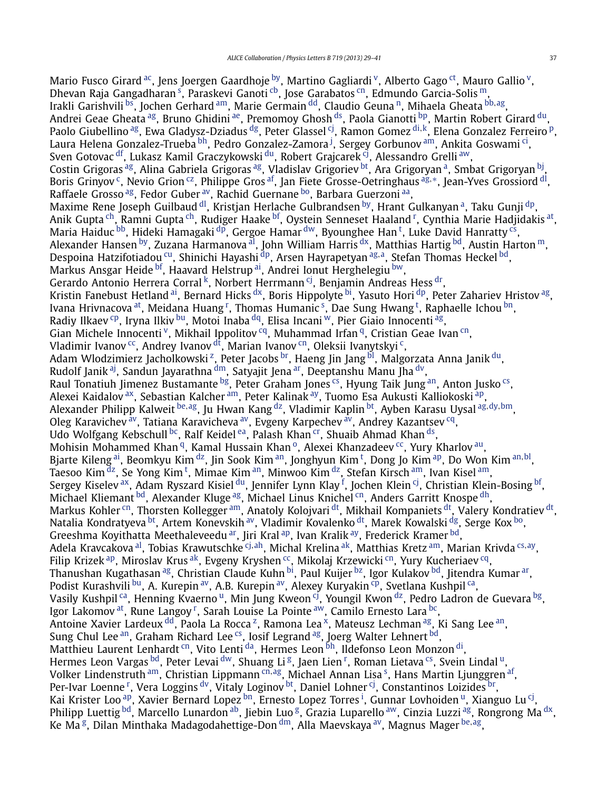Mario Fusco Girard <sup>ac</sup>, Jens Joergen Gaardhoje [by,](#page-11-0) Martino Gagliardi <sup>v</sup>, Alberto Gago <sup>ct</sup>, Mauro Gallio <sup>v</sup>, Dhevan Raja Gangadharan <[s](#page-11-0)up>s</sup>, Paraskevi Ganoti <sup>cb</sup>, Jose Garabatos <sup>cn</sup>, Edmundo Garcia-Solis <sup>m</sup>, Irakli Garishvili <sup>bs</sup>, Jochen Gerhard <sup>am</sup>, Marie Germain <sup>dd</sup>, Claudio Geuna <sup>n</sup>, Mihaela Gheata <sup>[bb](#page-11-0), ag</sup>, Andrei Geae Gheata <sup>ag</sup>, Bruno Ghidini <sup>ae</sup>, Premomoy Ghosh <sup>ds</sup>, Paola Gianotti <sup>bp</sup>, Martin Robert Girard <sup>du</sup>, Paolo Giubellino <sup>ag</sup>, Ewa Gladysz-Dziadus <sup>[dg](#page-12-0)</sup>, Peter Glassel <sup>cj</sup>, Ramon Gomez <sup>[di](#page-12-0),[k](#page-11-0)</sup>, Elena Gonzalez Ferreiro <sup>p</sup>, Laura Helena Gonzalez-Trueba <sup>bh</sup>, Pedro Gonzalez-Zamora <sup>[j](#page-11-0)</sup>, Sergey Gorbunov <sup>am</sup>, Ankita Goswami <sup>ci</sup>, Sven Gotovac <sup>df</sup>, Lukasz Kamil Graczykowski <sup>[du](#page-12-0)</sup>, Robert Grajcarek <sup>cj</sup>, Alessandro Grelli <sup>aw</sup>, Costin Grigoras [ag,](#page-11-0) Alina Gabriela Grigoras ag, Vladislav Grigoriev [bt,](#page-11-0) Ara Grigoryan [a,](#page-10-0) Smbat Grigoryan [bj,](#page-11-0) Boris Grinyov<sup>c</sup>, Nevio Grion<sup>cz</sup>, Philippe Gros<sup>af</sup>, Jan Fiete Grosse-Oetringhaus<sup>[ag](#page-11-0),[∗](#page-12-0)</sup>, Jean-Yves Grossiord<sup>[dl](#page-12-0)</sup>, Raffaele Grosso<sup>ag</sup>, Fedor Guber [av,](#page-11-0) Rachid Guernane [bo,](#page-11-0) Barbara Guerzoni [aa,](#page-11-0) Maxime Rene Joseph Guilbaud [dl,](#page-12-0) Kristjan Herlache Gulbrandsen [by,](#page-11-0) Hrant Gulkanyan [a,](#page-10-0) Taku Gunji [dp,](#page-12-0) Anik Gupta<sup>ch</sup>, Ramni Gupta<sup>ch</sup>, Rudige[r](#page-11-0) Haake <sup>bf</sup>, Oystein Senneset Haaland <sup>r</sup>, Cynthia Marie Hadjidakis <sup>[at](#page-11-0)</sup>, Maria Haiduc <sup>bb</sup>, Hideki Hamagaki <sup>dp</sup>, Gergoe Hamar <sup>[dw](#page-12-0)</sup>, Byounghee Han <sup>[t](#page-11-0)</sup>, Luke David Hanratty <sup>cs</sup>, Alexander Hansen [by,](#page-11-0) Zuzana Harmanova [al,](#page-11-0) John William Harris [dx,](#page-12-0) Matthias Hartig [bd,](#page-11-0) Austin Harton [m,](#page-11-0) Despoina Hatzifotiadou <sup>cu</sup>, Shinichi Hayashi [dp,](#page-12-0) Arsen Hayrapetyan [ag](#page-11-0), [a,](#page-10-0) Stefan Thomas Heckel [bd,](#page-11-0) Markus Ansgar Heide <sup>bf</sup>, Haavard Helstrup [ai,](#page-11-0) Andrei Ionut Herghelegiu [bw,](#page-11-0) Gerardo Antonio Herrera Corral<sup>k</sup>, Norbert Herrmann<sup>cj</sup>, Benjamin Andreas Hess [dr,](#page-12-0) Kristin Fanebust Hetland [ai,](#page-11-0) Bernard Hicks <sup>dx</sup>, Boris Hippolyte <sup>bi</sup>, Yasuto Hori <sup>dp</sup>, Peter Zahariev Hristov <sup>ag</sup>, Ivana H[r](#page-11-0)ivnacova <[s](#page-11-0)up>a[t](#page-11-0)</sup>, Meidana Huang <sup>r</sup>, Thomas Humanic <sup>s</sup>, Dae Sung Hwang <sup>t</sup>, Raphaelle Ichou <sup>bn</sup>, Radiy Ilkaev <sup>cp</sup>, Iryna Ilkiv <sup>bu</sup>, Motoi Inaba <sup>dq</sup>, Elisa Incani <sup>w</sup>, Pier Giaio Innocenti <sup>ag</sup>, Gian Michele Innocenti<sup>v</sup>, Mikhail Ippolitov<sup>cq</sup>, Muhammad Irfan<sup>q</sup>, Cristian Geae Ivan<sup>cn</sup>, Vladimir Ivanov  $\text{cc}$  $\text{cc}$  $\text{cc}$ , Andrey Ivanov  $\text{dt}$ , Marian Ivanov  $\text{ca}$  $\text{ca}$  $\text{ca}$ , Oleksii Ivanytskyi  $\text{c}$ , Adam Wlodzimierz Jacholkowski<sup>z</sup>, Peter Jacobs <sup>br</sup>, Haeng Jin Jang <sup>bl</sup>, Malgorzata Anna Janik <sup>du</sup>, Rudolf Janik [aj](#page-11-0), Sandun Jayarathna [dm,](#page-12-0) Satyajit Jena [ar,](#page-11-0) Deeptanshu Manu Jha [dv,](#page-12-0) Raul Tonatiuh Jimenez Bustamante [bg,](#page-11-0) Peter Graham Jones Cs, Hyung Taik Jung [an,](#page-11-0) Anton Jusko Cs, Alexei Kaidalov<sup>ax</sup>, Sebastian Kalcher [am,](#page-11-0) Peter Kalinak <sup>ay</sup>, Tuomo Esa Aukusti Kalliokoski [ap,](#page-11-0) Alexander Philipp Kalweit [be](#page-11-0)*,*[ag,](#page-11-0) Ju Hwan Kang [dz,](#page-12-0) Vladimir Kaplin [bt,](#page-11-0) Ayben Karasu Uysal [ag](#page-11-0)*,*[dy](#page-12-0)*,*[bm,](#page-11-0) Oleg Kar[av](#page-11-0)ichev<sup>av</sup>, Tatiana Karavicheva [av,](#page-11-0) Evgeny Karpechev av, Andrey Kazantsev <sup>cq</sup>, Udo Wolfgang Kebschull [bc,](#page-11-0) Ralf Keidel [ea,](#page-12-0) Palash Khan Cr, Shuaib Ahmad Khan [ds](#page-12-0), Mohisin Mohammed Khan <sup>q</sup>, Kamal Hussain Khan <sup>o</sup>, Alexei Khanzadeev <sup>cc</sup>, Yury Kharlov <sup>au</sup>, Bjarte Kileng <sup>[ai](#page-11-0)</sup>, Beomkyu Kim <sup>dz</sup>, Jin Sook Kim <sup>an</sup>, Jonghyun Kim <sup>t</sup>, Dong Jo Kim <sup>ap</sup>, Do Won Kim <sup>[an,](#page-11-0)bl</sup>, Taesoo Kim <sup>dz</sup>, Se Yong Kim <sup>[t](#page-11-0)</sup>, Mimae Kim <sup>an</sup>, Minwoo Kim <sup>[dz](#page-12-0)</sup>, Stefan Kirsch <sup>am</sup>, Ivan Kisel <sup>am</sup>, Sergey Kiselev <sup>ax</sup>, Adam Ryszard Kisiel <sup>du</sup>, Jenni[f](#page-11-0)er Lynn Klay <sup>f</sup>, Jochen Klein <sup>cj</sup>, Christian Klein-Bosing <sup>bf</sup>, Michael Kliemant [bd,](#page-11-0) Alexander Kluge [ag](#page-11-0), Michael Linus Knichel [cn,](#page-12-0) Anders Garritt Knospe [dh,](#page-12-0) Markus Kohler <sup>[cn](#page-12-0)</sup>, Thorsten Kollegger <sup>am</sup>, Anatoly Kolojvari <sup>[dt](#page-12-0)</sup>, Mikhail Kompaniets <sup>dt</sup>, Valery Kondratiev <sup>dt</sup>, Natalia Kondratyeva <sup>bt</sup>, Artem Konevskih <sup>av</sup>, Vladimir Kovalenko <sup>dt</sup>, Marek Kowalski <sup>[dg](#page-12-0)</sup>, Serge Kox <sup>bo</sup>, Greeshma Koyithatta Meethaleveedu <sup>ar</sup>, Jiri Kral <sup>ap</sup>, Ivan Kralik <sup>ay</sup>, Frederick Kramer <sup>bd</sup>, Adela Kravcakova [al,](#page-11-0) Tobias Krawutschke [cj](#page-12-0)*,*[ah,](#page-11-0) Michal Krelina [ak,](#page-11-0) Matthias Kretz [am,](#page-11-0) Marian Krivda [cs](#page-12-0)*,*[ay,](#page-11-0) Filip Krizek <sup>ap</sup>, Miroslav Krus <sup>ak</sup>, Evgeny Kryshen <sup>[cc](#page-11-0)</sup>, Mikolaj Krzewicki <sup>cn</sup>, Yury Kucheriaev <sup>cq</sup>, Thanushan Kugathasan <sup>ag</sup>, Christian Claude Kuhn <sup>bi</sup>, Paul Kuijer <sup>[bz](#page-11-0)</sup>, Igor Kulakov <sup>[bd](#page-11-0)</sup>, Jitendra Kumar <sup>ar</sup>, Podist Kurashvili [bu](#page-11-0), A. Kurepin <sup>[av](#page-11-0)</sup>, A.B. Kurepin <sup>av</sup>, Alexey Kuryakin <sup>cp</sup>, Svetlana Kushpil <sup>ca</sup>, Vasily Kushpil Ca, Henning Kvaerno <sup>u</sup>, Min Jung Kweon CJ, Youngil Kwon [dz,](#page-12-0) Pedro Ladron de Guevara [bg,](#page-11-0) Igo[r](#page-11-0) Lakomov <sup>at</sup>, Rune Langoy <sup>r</sup>, Sarah Louise La Pointe <sup>aw</sup>, Camilo Ernesto Lara <sup>bc</sup>, Antoine Xavier Lardeux [dd,](#page-12-0) Paola La Rocca<sup> z</sup>, Ramona Lea <sup>x</sup>, Mateusz Lechman <sup>ag</sup>, Ki Sang Lee <sup>an</sup>, Sung Chul Lee [an,](#page-11-0) Graham Richard Lee <sup>cs</sup>, Iosif Legrand [ag,](#page-11-0) Joerg Walter Lehnert [bd,](#page-11-0) Matthieu Laurent Lenhardt <sup>cn</sup>, Vito Lenti <sup>da</sup>, Hermes Leon <sup>bh</sup>, Ildefonso Leon Monzon <sup>di</sup>, He[r](#page-11-0)mes Leon Vargas <sup>bd</sup>, Peter Levai <sup>dw</sup>, Shuang Li <sup>g</sup>, Jaen Lien <sup>r</sup>, Roman Lietava <sup>[cs](#page-12-0)</sup>, Svein Lindal <sup>u</sup>, Volker Lindenstruth <sup>am</sup>, Christian Lippmann <sup>[cn](#page-12-0), ag</[s](#page-11-0)up>, Michael Annan Lisa <sup>s</sup>, Hans Martin Ljunggren <sup>af</sup>, Pe[r](#page-11-0)-Ivar Loenne <sup>r</sup>, Vera Loggins <sup>dv</sup>, Vitaly Loginov <sup>bt</sup>, Daniel Lohner <sup>[cj](#page-12-0)</sup>, Constantinos Loizides <sup>br</sup>, Kai Krister Loo <sup>[ap](#page-11-0)</sup>, Xavier Bernard Lopez <sup>[bn](#page-11-0)</sup>, Ernesto Lopez Torres <sup>[i](#page-11-0)</sup>, Gunnar Lovhoiden <sup>u</sup>, Xianguo Lu <sup>[cj](#page-12-0)</sup>, Philipp Luettig [bd,](#page-11-0) Marcello Lunardon [ab,](#page-11-0) Jiebin Luo <sup>[g](#page-11-0)</sup>, Grazia Luparello <sup>aw</sup>, Cinzia Luzzi <sup>ag</sup>, Rongrong Ma<sup>[dx](#page-12-0)</sup>, Ke Ma [g,](#page-11-0) Dilan Minthaka Madagodahettige-Don [dm,](#page-12-0) Alla Maevskaya [av,](#page-11-0) Magnus Mager [be](#page-11-0)*,*[ag,](#page-11-0)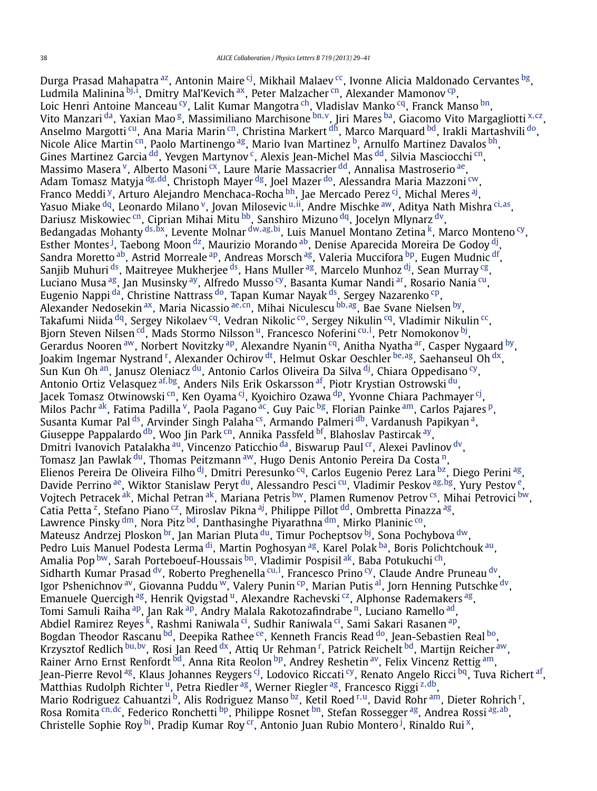Durga Prasad Mahapatra <sup>az</sup>, Antonin Maire <sup>cj</sup>, Mikhail Malaev <sup>cc</sup>, Ivonne Alicia Maldonado Cervantes <sup>bg</sup>, Ludmila Malinina <sup>[bj](#page-11-0),[i](#page-12-0)</sup>, Dmitry Mal'Kevich <sup>ax</sup>, Peter Malzacher <sup>cn</sup>, Alexander Mamonov <sup>cp</sup>, Loic Henri Antoine Manceau <sup>cy</sup>, Lalit Kumar Mangotra <sup>ch</sup>, Vladislav Manko <sup>cq</sup>, Franck Manso <sup>bn</sup>, Vito Manzari [da,](#page-12-0) Yaxian Mao [g,](#page-11-0) Massimiliano Marchisone [bn](#page-11-0)*,*[v,](#page-11-0) Jiri Mares [ba,](#page-11-0) Giacomo Vito Margagliotti [x](#page-11-0)*,*[cz,](#page-12-0) Anselmo Margotti <sup>cu</sup>, Ana Maria Marin <sup>cn</sup>, Christina Markert <sup>[dh](#page-12-0)</sup>, Marco Marquard <sup>bd</sup>, Irakli Martashvili <sup>do</sup>, Nicole Alice Martin<sup>cn</sup>, Paolo Martinengo<sup>ag</sup>, Mario Ivan Martinez <sup>b</sup>, Arnulfo Martinez Davalos <sup>bh</sup>, Gines Martinez Garcia [dd,](#page-12-0) Yevgen Martynov<sup>c</sup>, Alexis Jean-Michel Mas dd, Silvia Masciocchi [cn,](#page-12-0) Massimo Masera <sup>v</sup>, Alberto Masoni<sup>cx</sup>, Laure Marie Massacrier <sup>dd</sup>, Annalisa Mastroserio <sup>ae</sup>, Adam Tomasz Matyja [dg](#page-12-0)*,*[dd](#page-12-0), Christoph Mayer [dg,](#page-12-0) Joel Mazer [do,](#page-12-0) Alessandra Maria Mazzoni [cw,](#page-12-0) Franco Meddi <sup>y</sup>, Arturo Alejandro Menchaca-Rocha <sup>bh</sup>, Jae Mercado Perez <sup>cj</sup>, Michal Meres <sup>[aj](#page-11-0)</sup>, Yas[u](#page-11-0)o Miake <sup>dq</sup>, Leonardo Milano <sup>v</sup>, Jovan Milosevic <sup>u,ii</sup>, Andre Mischke <sup>aw</sup>, Aditya Nath Mishra <sup>[ci](#page-12-0),as</sup>, Dariusz Miskowiec<sup>cn</sup>, Ciprian Mihai Mitu <sup>[bb](#page-11-0)</sup>, Sanshiro Mizuno <sup>[dq](#page-12-0)</sup>, Jocelyn Mlynarz <sup>[dv](#page-12-0)</sup>, Bedangadas Mohanty<sup>[ds](#page-12-0), [bx](#page-11-0)</sup>, Levente Molnar<sup>[dw](#page-12-0), [ag](#page-11-0), bi</sup>, Luis Manuel Montano Zetina<sup>[k](#page-11-0)</sup>, Marco Monteno<sup>cy</sup>, Esther Montes <sup>[j](#page-11-0)</sup>, Taebong Moon <sup>dz</sup>, Maurizio Morando <sup>ab</sup>, Denise Aparecida Moreira De Godoy <sup>dj</sup>, Sandra Moretto [ab,](#page-11-0) Astrid Morreale [ap,](#page-11-0) Andreas Morsch [ag,](#page-11-0) Valeria Muccifora [bp,](#page-11-0) Eugen Mudnic [df,](#page-12-0) Sanjib Muhuri [ds,](#page-12-0) Maitreyee Mukherjee ds, Hans Muller  $\frac{dg}{dg}$ , Marcelo Munhoz  $\frac{dj}{dg}$ , Sean Murray  $\frac{cg}{dg}$ , Luciano Musa <sup>ag</sup>, Jan Musinsky <sup>ay</sup>, Alfredo Musso <sup>cy</sup>, Basanta Kumar Nandi <sup>ar</sup>, Rosario Nania<sup>cu</sup>, Eugenio Nappi <sup>da</sup>, Christine Nattrass <sup>do</sup>, Tapan Kumar Nayak <sup>ds</sup>, Sergey Nazarenko <sup>cp</sup>, Alexander Nedosekin <sup>ax</sup>, Maria Nicassio<sup>[ae](#page-11-0), cn</sup>, Mihai Niculescu <sup>[bb](#page-11-0), ag</sup>, Bae Svane Nielsen <sup>by</sup>, Takafumi Niida <sup>dq</sup>, Sergey Nikolaev <sup>cq</sup>, Vedran Nikolic <sup>co</sup>, Sergey Nikulin <sup>cq</sup>, Vladimir Nikulin <sup>cc</sup>, Bjorn Steven Nilsen <sup>cd</sup>, Mads Stormo Nilsson <sup>u</sup>, Francesco Noferini <sup>c[u,](#page-11-0) [l](#page-11-0)</sup>, Petr Nomokonov <sup>bj</sup>, Gerardus Nooren<sup>aw</sup>, Norbert Novitzky <sup>ap</sup>, Alexandre Nyanin<sup>cq</sup>, Anitha Nyatha <sup>ar</sup>, Casper Nygaard <sup>by</sup>, Joakim Ingema[r](#page-11-0) Nystrand <sup>r</sup>, Alexander Ochirov <sup>dt</sup>, Helmut Oskar Oeschler <sup>[be](#page-11-0),ag</sup>, Saehanseul Oh <sup>[dx](#page-12-0)</sup>, Sun Kun Oh<sup>an</sup>, Janusz Oleniacz <sup>du</sup>, Antonio Carlos Oliveira Da Silva <sup>[dj](#page-12-0)</sup>, Chiara Oppedisano <sup>cy</sup>, Antonio Ortiz Velasquez [af](#page-11-0)*,*[bg,](#page-11-0) Anders Nils Erik Oskarsson [af,](#page-11-0) Piotr Krystian Ostrowski [du,](#page-12-0) Jacek Tomasz Otwinowski [cn,](#page-12-0) Ken Oyama [cj,](#page-12-0) Kyoichiro Ozawa [dp,](#page-12-0) Yvonne Chiara Pachmayer cj, Milos Pachr<sup>ak</sup>, Fatima Padilla <sup>v</sup>, Paola Pagano <sup>ac</sup>, Guy Paic <sup>bg</sup>, Florian Painke <sup>am</sup>, Carlos Pajares <sup>p</sup>, Susanta Kumar Pal<sup>ds</sup>, Arvinder Singh Palaha<sup>cs</sup>, Armando Palmeri<sup>db</sup>, Vardanush Papikyan<u>a</u>, Giuseppe Pappalardo [db,](#page-12-0) Woo Jin Park [cn,](#page-12-0) Annika Passfeld [bf,](#page-11-0) Blahoslav Pastircak [ay,](#page-11-0) Dmitri Ivanovich Patalakha [au,](#page-11-0) Vincenzo Paticchio [da,](#page-12-0) Biswarup Paul <sup>cr</sup>, Alexei Pavlinov [dv,](#page-12-0) Tomasz Ja[n](#page-11-0) Pawlak <sup>du</sup>, Thomas Peitzmann <sup>aw</sup>, Hugo Denis Antonio Pereira Da Costa <sup>n</sup>, Elienos Pereira De Oliveira Filho <sup>dj</sup>, Dmitri Peresunko <sup>cq</sup>, Carlos Eugenio Perez Lara <sup>bz</sup>, Diego Perini <sup>ag</sup>, Davide Perrino [ae,](#page-11-0) Wiktor Stanislaw Peryt [du,](#page-12-0) Alessandro Pesci [cu,](#page-12-0) Vladimir Peskov [ag](#page-11-0)*,*[bg,](#page-11-0) Yury Pestov [e,](#page-11-0) Vojtech Petracek [ak,](#page-11-0) Michal Petran ak, Mariana Petris [bw](#page-11-0), Plamen Rumenov Petrov CS, Mihai Petrovici [bw,](#page-11-0) Catia Petta<sup>2</sup>, Stefano Piano <sup>c[z](#page-11-0)</sup>, Miroslav Pikna<sup>[aj](#page-11-0)</sup>, Philippe Pillot <sup>dd</sup>, Ombretta Pinazza<sup>ag</sup>, Lawrence Pinsky [dm,](#page-12-0) Nora Pitz [bd](#page-11-0), Danthasinghe Piyarathna [dm](#page-12-0), Mirko Planinic<sup>co</sup>, Mateusz Andrzej Ploskon [br,](#page-11-0) Jan Marian Pluta [du,](#page-12-0) Timur Pocheptsov [bj,](#page-11-0) Sona Pochybova [dw](#page-12-0), Pedro Luis Manuel Podesta Lerma [di](#page-12-0), Martin Poghosyan [ag,](#page-11-0) Karel Polak [ba,](#page-11-0) Boris Polichtchouk [au,](#page-11-0) Amalia Pop [bw,](#page-11-0) Sarah Porteboeuf-Houssais [bn,](#page-11-0) Vladimir Pospisil [ak,](#page-11-0) Baba Potukuchi [ch,](#page-12-0) Sidharth Kumar Prasad <sup>[dv](#page-12-0)</sup>, Roberto Preghenella <sup>[cu](#page-12-0), [l](#page-11-0)</sup>, Francesco Prino <sup>cy</sup>, Claude Andre Pruneau <sup>dv</sup>, Igor Pshenichnov<sup>av</sup>, Giovanna Puddu <sup>w</sup>, Valery Punin <sup>cp</sup>, Marian Putis <sup>al</sup>, Jorn Henning Putschke [dv,](#page-12-0) Emanuele Quercigh<sup>ag</sup>, Henrik Qvigstad<sup>u</sup>, Alexandre Rachevski<sup>cz</sup>, Alphonse Rademakers<sup>ag</sup>, Tomi Samuli Raiha [ap,](#page-11-0) Jan Rak ap, Andry Malala Rakotozafindrabe <sup>n</sup>, Luciano Ramello [ad,](#page-11-0) Abdiel Ramirez Reyes <sup>k</sup>, Rashmi Raniwala <sup>ci</sup>, Sudhir Raniwala <sup>ci</sup>, Sami Sakari Rasanen <sup>ap</sup>, Bogdan Theodor Rascanu <sup>[bd](#page-11-0)</sup>, Deepika Rathee <sup>ce</sup>, Kenneth Francis Read <sup>do</sup>, Jean-Sebastien Real <sup>bo</sup>, Krzysztof Redlich <sup>[bu](#page-11-0),bv</sup>, Rosi Jan Reed <sup>dx</sup>, Attiq U[r](#page-11-0) Rehman <sup>r</sup>, Patrick Reichelt <sup>bd</sup>, Martijn Reicher <sup>aw</sup>, Rainer Arno Ernst Renfordt <sup>bd</sup>, Anna Rita Reolon <sup>bp</sup>, Andrey Reshetin <sup>[av](#page-11-0)</sup>, Felix Vincenz Rettig <sup>am</sup>, Jean-Pierre Revol<sup>ag</sup>, Klaus Johannes Reygers <sup>cj</sup>, Lodovico Riccati <sup>cy</sup>, Renato Angelo Ricci <sup>bq</sup>, Tuva Richert <sup>af</sup>, Matthias Rudolph Richter<sup>u</sup>, Petra Riedler <sup>ag</sup>, Werner Riegler <sup>ag</sup>, Francesco Riggi <sup>[z](#page-11-0), db</sup>, Ma[r](#page-11-0)io Rodriguez Cahuantzi <sup>b</sup>, Alis Rodriguez Manso <sup>bz</sup>, Ketil Roed <sup>r,u</sup>, David Rohr <sup>am</sup>, Dieter Rohrich <sup>r</sup>, Rosa Romita<sup>[cn](#page-12-0),dc</sup>, Federico Ronchetti <sup>bp</sup>, Philippe Rosnet <sup>bn</sup>, Stefan Rossegger <sup>ag</sup>, Andrea Rossi <sup>[ag,](#page-11-0) ab</sup>, Christelle Sophie Roy <sup>bi</sup>, Pradip Kumar Roy <sup>cr</sup>, Antonio Juan Rubio Montero <sup>[j](#page-11-0)</sup>, Rinaldo Rui <sup>x</sup>,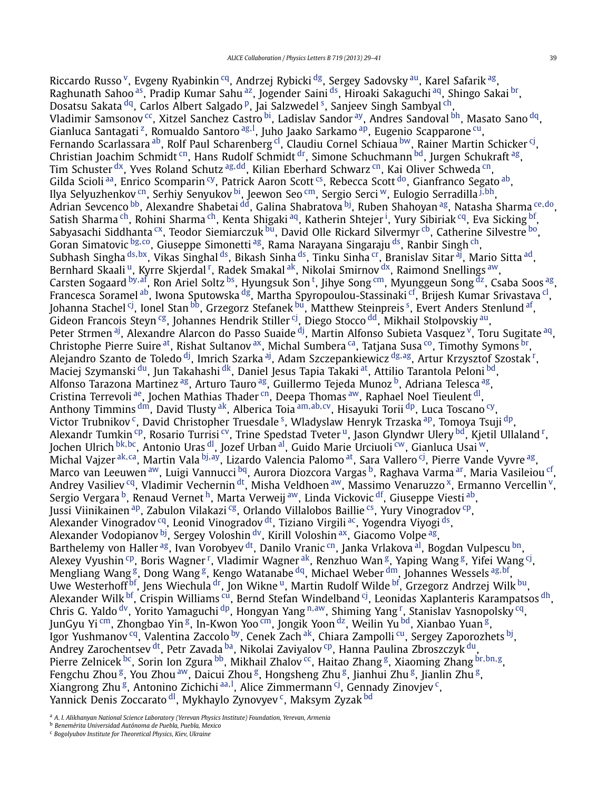<span id="page-10-0"></span>Riccardo Russo<sup>[v](#page-11-0)</sup>, Evgeny Ryabinkin<sup>cq</sup>, Andrzej Rybicki<sup>dg</sup>, Sergey Sadovsky<sup>au</sup>, Karel Safarik <sup>ag</sup>, Raghunath Sahoo <sup>as</sup>, Pradip Kumar Sahu <sup>az</sup>, Jogender Saini <sup>ds</sup>, Hiroaki Sakaguchi <sup>aq</sup>, Shingo Sakai <sup>br</sup>, Do[s](#page-11-0)atsu Sakata <sup>dq</sup>, Carlos Albert Salgado <sup>p</sup>, Jai Salzwedel <sup>s</sup>, Sanjeev Singh Sambyal <sup>ch</sup>, Vladimir Samsonov<sup>cc</sup>, Xitzel Sanchez Castro [bi,](#page-11-0) Ladislav Sandor [ay](#page-11-0), Andres Sandoval [bh](#page-11-0), Masato Sano [dq,](#page-12-0) Gianluca Sant[ag](#page-11-0)ati <sup>z</sup>, Romua[l](#page-11-0)do Santoro <sup>ag, l</sup>, Juho Jaako Sarkamo <sup>ap</sup>, Eugenio Scapparone <sup>cu</sup>, Fernando Scarlassara [ab,](#page-11-0) Rolf Paul Scharenberg [cl,](#page-12-0) Claudiu Cornel Schiaua [bw](#page-11-0), Rainer Martin Schicker [cj,](#page-12-0) Christian Joachim Schmidt<sup>cn</sup>, Hans Rudolf Schmidt<sup>[dr](#page-12-0)</sup>, Simone Schuchmann [bd,](#page-11-0) Jurgen Schukraft<sup>ag</sup>, Tim Schuster [dx,](#page-12-0) Yves Roland Schutz [ag](#page-11-0)*,*[dd](#page-12-0), Kilian Eberhard Schwarz [cn,](#page-12-0) Kai Oliver Schweda [cn,](#page-12-0) Gilda Scioli<sup>aa</sup>, Enrico Scomparin<sup>cy</sup>, Patrick Aaron Scott<sup>cs</sup>, Rebecca Scott<sup>do</sup>, Gianfranco Segato <sup>ab</sup>, Ilya Selyuzhenkov [cn](#page-12-0), Serhiy Senyukov [bi,](#page-11-0) Jeewon Seo [cm,](#page-12-0) Sergio Serci [w,](#page-11-0) Eulogio Serradilla [j](#page-11-0)*,*[bh,](#page-11-0) Adrian Sevcenco <sup>[bb](#page-11-0)</sup>, Alexandre Shabetai <sup>dd</sup>, Galina Shabratova <sup>bj</sup>, Ruben Shahoyan <sup>ag</sup>, Natasha Sharma <sup>[ce](#page-11-0),do</sup>, Sat[i](#page-11-0)sh Sharma <sup>ch</sup>, Rohini Sharma <sup>ch</sup>, Kenta Shigaki <sup>aq</sup>, Katherin Shtejer <sup>i</sup>, Yury Sibiriak <sup>cq</sup>, Eva Sicking <sup>bf</sup>, Sabyasachi Siddhanta<sup>cx</sup>, Teodor Siemiarczuk <sup>bu</sup>, David Olle Rickard Silvermyr <sup>cb</sup>, Catherine Silvestre <sup>bo</sup>, Goran Simatovic [bg](#page-11-0)*,*[co,](#page-12-0) Giuseppe Simonetti [ag,](#page-11-0) Rama Narayana Singaraju [ds,](#page-12-0) Ranbir Singh [ch,](#page-12-0) Subhash Singha <sup>[ds](#page-12-0),bx</sup>, Vikas Singhal <sup>ds</sup>, Bikash Sinha <sup>ds</sup>, Tinku Sinha <sup>cr</sup>, Branislav Sitar <sup>[aj](#page-11-0)</sup>, Mario Sitta <sup>ad</sup>, Be[r](#page-11-0)nhard Skaali <sup>u</sup>, Kyrre Skjerdal <sup>r</sup>, Radek Sm[ak](#page-11-0)al <sup>ak</sup>, Nikolai Smirnov <sup>[dx](#page-12-0)</sup>, Raimond Snellings <sup>[aw](#page-11-0)</sup>, Carsten Sogaard <sup>[by](#page-11-0),af</sup>, Ron Ariel Sol[t](#page-11-0)z <sup>bs</sup>, Hyungsuk Son <sup>t</sup>, Jihye Song <sup>[cm](#page-12-0)</sup>, Myunggeun Song <sup>dz</sup>, Csaba Soos <sup>ag</sup>, Francesca Soramel [ab,](#page-11-0) Iwona Sputowska [dg,](#page-12-0) Martha Spyropoulou-Stassinaki [cf,](#page-12-0) Brijesh Kumar Srivastava [cl,](#page-12-0) Johanna Stachel <[s](#page-11-0)up>cj</sup>, Ionel Stan <sup>bb</sup>, Grzegorz Stefanek <sup>bu</sup>, Matthew Steinpreis <sup>s</sup>, Evert Anders Stenlund <sup>af</sup>, Gideon Francois Steyn <sup>cg</sup>, Johannes Hendrik Stiller <sup>cj</sup>, Diego Stocco <sup>dd</sup>, Mikhail Stolpovskiy <sup>au</sup>, Peter Strmen <sup>aj</sup>, Alexandre Alarcon do Passo Suaide <sup>dj</sup>, Martin Alfonso Subieta Vasquez <sup>v</sup>, Toru Sugitate <sup>aq</sup>, Christophe Pierre Suire [at,](#page-11-0) Rishat Sultanov [ax,](#page-11-0) Michal Sumbera <sup>ca</sup>, Tatjana Susa <sup>co</sup>, Timothy Symons [br,](#page-11-0) Alejandro Szanto de Toledo <sup>dj</sup>, Imrich Szarka <sup>[aj](#page-11-0)</sup>, Adam Szczepankiewicz <sup>[dg](#page-12-0), ag</sup>, A[r](#page-11-0)tur Krzysztof Szostak <sup>r</sup>, Maciej Szymanski [du,](#page-12-0) Jun Takahashi [dk,](#page-12-0) Daniel Jesus Tapia Takaki [at,](#page-11-0) Attilio Tarantola Peloni [bd,](#page-11-0) Alfonso Tarazona Martinez  $a^g$ , Arturo Tauro  $a^g$ , Guillermo Tejeda Munoz  $b$ , Adriana Telesca  $a^g$ , Cristina Terrevoli<sup>ae</sup>, Jochen Mathias Thader <sup>[cn](#page-12-0)</sup>, Deepa Thomas <sup>[aw](#page-11-0)</sup>, Raphael Noel Tieulent <sup>[dl](#page-12-0)</sup>, Anthony Timmins [dm,](#page-12-0) David Tlusty [ak,](#page-11-0) Alberica Toia [am](#page-11-0)*,*[ab](#page-11-0)*,*[cv,](#page-12-0) Hisayuki Torii [dp,](#page-12-0) Luca Toscano [cy,](#page-12-0) Victor Trubnikov <[s](#page-11-0)up>c</sup>, David Christopher Truesdale <sup>s</sup>, Wladyslaw Henryk Trzaska <sup>ap</sup>, Tomoya Tsuji <sup>dp</sup>, Alexand[r](#page-11-0) Tumkin <sup>cp</sup>, Rosario Turrisi <sup>cv</sup>, Trine Spedstad Tveter <sup>u</sup>, Jason Glyndwr Ulery <sup>bd</sup>, Kjetil Ullaland <sup>r</sup>, Jochen Ulrich <sup>[bk](#page-11-0), bc</sup>, Antonio Uras <sup>dl</sup>, Jozef Urban <sup>al</sup>, Guido Marie Urciuoli<sup>cw</sup>, Gianluca Usai<sup>w</sup>, Michal Vajzer <sup>[ak](#page-11-0), ca</sup>, Martin Vala <sup>[bj](#page-11-0), ay</sup>, Lizardo Valencia Palomo <sup>[at](#page-11-0)</sup>, Sara Vallero <sup>cj</sup>, Pierre Vande Vyvre <sup>ag</sup>, Marco van Leeuwen [aw,](#page-11-0) Luigi Vannucci <sup>bq</sup>, Aurora Diozcora Vargas <sup>b</sup>, Raghava Varma <sup>ar</sup>, Maria Vasileiou <sup>cf</sup>, Andrey Vasiliev<sup>cq</sup>, Vladimir Vechernin <sup>dt</sup>, Misha Veldhoen <sup>[aw](#page-11-0)</sup>, Massimo Venaruzzo<sup>x</sup>, Ermanno Vercellin<sup>v</sup>, Sergio Vergara<sup>b</sup>, Renaud Vernet<sup>h</sup>, Marta Verweij<sup>aw</sup>, Linda Vickovic <sup>df</sup>, Giuseppe Viesti <sup>ab</sup>, Jussi Viinikainen <sup>ap</sup>, Zabulon Vilakazi <sup>cg</sup>, Orlando Villalobos Baillie <sup>cs</sup>, Yury Vinogradov <sup>cp</sup>, Alexander Vinogradov<sup>cq</sup>, Leonid Vinogradov<sup>dt</sup>, Tiziano Virgili<sup>ac</sup>, Yogendra Viyogi<sup>ds</sup>, Alexander Vodopianov [bj,](#page-11-0) Sergey Voloshin [dv,](#page-12-0) Kirill Voloshin [ax](#page-11-0), Giacomo Volpe [ag](#page-11-0), Barthelemy von Haller [ag,](#page-11-0) Ivan Vorobyev [dt,](#page-12-0) Danilo Vranic [cn,](#page-12-0) Janka Vrlakova [al,](#page-11-0) Bogdan Vulpescu [bn,](#page-11-0) Alexey Vyushin <sup>cp</sup>, Bo[r](#page-11-0)is Wa[g](#page-11-0)ner <sup>r</sup>, Vladimir Wagner <sup>ak</sup>, Renzhuo Wan <sup>g</sup>, Yaping Wang <sup>g</sup>, Yifei Wang <sup>cj</sup>, Mengliang Wang <sup>g</sup>, Dong Wang <sup>g</sup>, Kengo Watanabe <sup>dq</sup>, Michael Weber <sup>dm</sup>, Johannes Wessels <sup>a[g,](#page-11-0) bf</sup>, Uwe Westerhoff <sup>bf</sup>, Jens Wiechula <sup>dr</sup>, Jon Wikne <sup>u</sup>, Martin Rudolf Wilde <sup>bf</sup>, Grzegorz Andrzej Wilk <sup>bu</sup>, Alexander Wilk [bf,](#page-11-0) Crispin Williams [cu,](#page-12-0) Bernd Stefan Windelband [cj,](#page-12-0) Leonidas Xaplanteris Karampatsos [dh,](#page-12-0) Chris G. Yaldo <sup>dv</sup>, Yorito Yamaguchi <sup>dp</sup>, Ho[n](#page-11-0)gyan Yang <sup>n,aw</sup>, Shiming Yang <sup>[r](#page-11-0)</sup>, Stanislav Yasnopolsky <sup>cq</sup>, JunGyu Yi<sup>cm</sup>, Zhongbao Yin <sup>g</sup>, In-Kwon Yoo <sup>cm</sup>, Jongik Yoon <sup>dz</sup>, Weilin Yu <sup>bd</sup>, Xianbao Yuan <sup>g</sup>, Igor Yushmanov<sup>cq</sup>, Valentina Zaccolo <sup>[by](#page-11-0)</sup>, Cenek Zach <sup>ak</sup>, Chiara Zampolli <sup>cu</sup>, Sergey Zaporozhets <sup>bj</sup>, Andrey Zarochentsev <sup>dt</sup>, Petr Zavada <sup>ba</sup>, Nikolai Zaviyalov <sup>cp</sup>, Hanna Paulina Zbroszczyk<sup> du</sup>, Pierre Zelnicek [bc,](#page-11-0) Sorin Ion Zgura [bb,](#page-11-0) Mikhail Zhalov<sup>cc</sup>, Haitao Zhan[g](#page-11-0) <sup>g</sup>, Xiaoming Zhang [br](#page-11-0), [bn](#page-11-0), g, Fengchu Zhou [g,](#page-11-0) You Zhou [aw,](#page-11-0) Daicui Zhou g, Hongsheng Zhu g, Jianhui Zhu g, Jianlin Zhu g, Xian[g](#page-11-0)rong Zhu<sup>g</sup>, Antonino Zichichi <sup>[aa](#page-11-0), [l](#page-11-0)</sup>, Alice Zimmermann <sup>[cj](#page-12-0)</sup>, Gennady Zinovjev <sup>c</sup>, Yannick Denis Zoccarato <sup>dl</sup>, Mykhaylo Zynovyev<sup>c</sup>, Maksym Zyzak [bd](#page-11-0)

<sup>a</sup> *A. I. Alikhanyan National Science Laboratory (Yerevan Physics Institute) Foundation, Yerevan, Armenia*

<sup>b</sup> *Benemérita Universidad Autónoma de Puebla, Puebla, Mexico*

<sup>c</sup> *Bogolyubov Institute for Theoretical Physics, Kiev, Ukraine*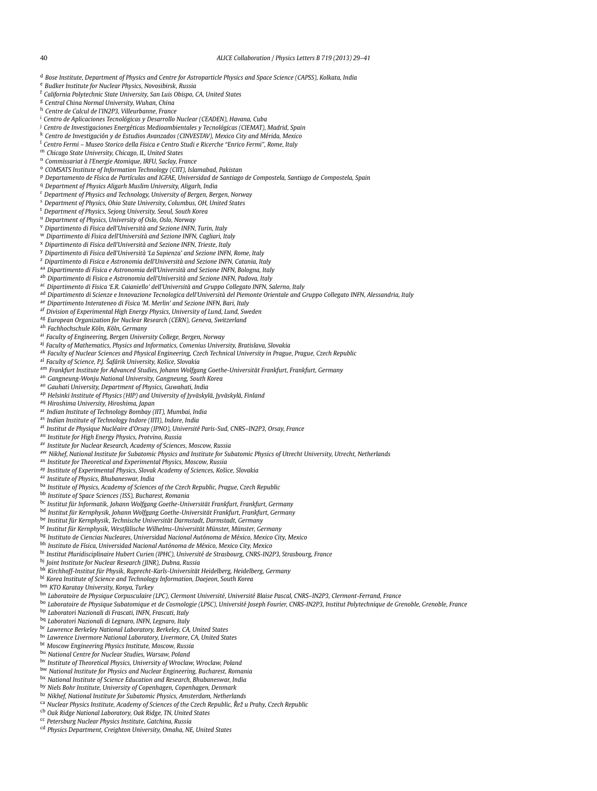<span id="page-11-0"></span><sup>d</sup> *Bose Institute, Department of Physics and Centre for Astroparticle Physics and Space Science (CAPSS), Kolkata, India*

- <sup>e</sup> *Budker Institute for Nuclear Physics, Novosibirsk, Russia*
- <sup>f</sup> *California Polytechnic State University, San Luis Obispo, CA, United States*
- <sup>g</sup> *Central China Normal University, Wuhan, China*
- <sup>h</sup> *Centre de Calcul de l'IN2P3, Villeurbanne, France*
- <sup>i</sup> *Centro de Aplicaciones Tecnológicas y Desarrollo Nuclear (CEADEN), Havana, Cuba*
- <sup>j</sup> *Centro de Investigaciones Energéticas Medioambientales y Tecnológicas (CIEMAT), Madrid, Spain*
- <sup>k</sup> *Centro de Investigación y de Estudios Avanzados (CINVESTAV), Mexico City and Mérida, Mexico*
- <sup>l</sup> *Centro Fermi Museo Storico della Fisica e Centro Studi e Ricerche "Enrico Fermi", Rome, Italy*
- <sup>m</sup> *Chicago State University, Chicago, IL, United States*
- <sup>n</sup> *Commissariat à l'Energie Atomique, IRFU, Saclay, France*
- <sup>o</sup> *COMSATS Institute of Information Technology (CIIT), Islamabad, Pakistan*
- <sup>p</sup> *Departamento de Física de Partículas and IGFAE, Universidad de Santiago de Compostela, Santiago de Compostela, Spain*
- <sup>q</sup> *Department of Physics Aligarh Muslim University, Aligarh, India*
- <sup>r</sup> *Department of Physics and Technology, University of Bergen, Bergen, Norway*
- <sup>s</sup> *Department of Physics, Ohio State University, Columbus, OH, United States*
- <sup>t</sup> *Department of Physics, Sejong University, Seoul, South Korea*
- <sup>u</sup> *Department of Physics, University of Oslo, Oslo, Norway*
- <sup>v</sup> *Dipartimento di Fisica dell'Università and Sezione INFN, Turin, Italy*
- <sup>w</sup> *Dipartimento di Fisica dell'Università and Sezione INFN, Cagliari, Italy*
- <sup>x</sup> *Dipartimento di Fisica dell'Università and Sezione INFN, Trieste, Italy*
- <sup>y</sup> *Dipartimento di Fisica dell'Università 'La Sapienza' and Sezione INFN, Rome, Italy*
- <sup>z</sup> *Dipartimento di Fisica e Astronomia dell'Università and Sezione INFN, Catania, Italy* aa *Dipartimento di Fisica e Astronomia dell'Università and Sezione INFN, Bologna, Italy*
- 
- ab *Dipartimento di Fisica e Astronomia dell'Università and Sezione INFN, Padova, Italy*
- ac *Dipartimento di Fisica 'E.R. Caianiello' dell'Università and Gruppo Collegato INFN, Salerno, Italy*
- ad *Dipartimento di Scienze e Innovazione Tecnologica dell'Università del Piemonte Orientale and Gruppo Collegato INFN, Alessandria, Italy*
- ae *Dipartimento Interateneo di Fisica 'M. Merlin' and Sezione INFN, Bari, Italy*
- af *Division of Experimental High Energy Physics, University of Lund, Lund, Sweden*
- ag *European Organization for Nuclear Research (CERN), Geneva, Switzerland*
- ah *Fachhochschule Köln, Köln, Germany*
- ai *Faculty of Engineering, Bergen University College, Bergen, Norway*
- aj *Faculty of Mathematics, Physics and Informatics, Comenius University, Bratislava, Slovakia*
- ak *Faculty of Nuclear Sciences and Physical Engineering, Czech Technical University in Prague, Prague, Czech Republic*
- al *Faculty of Science, P.J. Šafárik University, Košice, Slovakia*
- am *Frankfurt Institute for Advanced Studies, Johann Wolfgang Goethe-Universität Frankfurt, Frankfurt, Germany*
- an *Gangneung-Wonju National University, Gangneung, South Korea*
- ao *Gauhati University, Department of Physics, Guwahati, India*
- ap *Helsinki Institute of Physics (HIP) and University of Jyväskylä, Jyväskylä, Finland*
- aq *Hiroshima University, Hiroshima, Japan*
- ar *Indian Institute of Technology Bombay (IIT), Mumbai, India*
- as *Indian Institute of Technology Indore (IITI), Indore, India*
- at *Institut de Physique Nucléaire d'Orsay (IPNO), Université Paris-Sud, CNRS–IN2P3, Orsay, France*
- au *Institute for High Energy Physics, Protvino, Russia*
- av *Institute for Nuclear Research, Academy of Sciences, Moscow, Russia*
- aw *Nikhef, National Institute for Subatomic Physics and Institute for Subatomic Physics of Utrecht University, Utrecht, Netherlands*
- ax *Institute for Theoretical and Experimental Physics, Moscow, Russia*
- ay *Institute of Experimental Physics, Slovak Academy of Sciences, Košice, Slovakia*
- az *Institute of Physics, Bhubaneswar, India*
- ba *Institute of Physics, Academy of Sciences of the Czech Republic, Prague, Czech Republic*
- bb *Institute of Space Sciences (ISS), Bucharest, Romania*
- bc *Institut für Informatik, Johann Wolfgang Goethe-Universität Frankfurt, Frankfurt, Germany*
- bd *Institut für Kernphysik, Johann Wolfgang Goethe-Universität Frankfurt, Frankfurt, Germany*
- be *Institut für Kernphysik, Technische Universität Darmstadt, Darmstadt, Germany*
- bf *Institut für Kernphysik, Westfälische Wilhelms-Universität Münster, Münster, Germany*
- bg *Instituto de Ciencias Nucleares, Universidad Nacional Autónoma de México, Mexico City, Mexico*
- bh *Instituto de Física, Universidad Nacional Autónoma de México, Mexico City, Mexico*
- bi *Institut Pluridisciplinaire Hubert Curien (IPHC), Université de Strasbourg, CNRS-IN2P3, Strasbourg, France*
- bj *Joint Institute for Nuclear Research (JINR), Dubna, Russia*
- bk *Kirchhoff-Institut für Physik, Ruprecht-Karls-Universität Heidelberg, Heidelberg, Germany*
- bl *Korea Institute of Science and Technology Information, Daejeon, South Korea*
- bm *KTO Karatay University, Konya, Turkey*
- bn *Laboratoire de Physique Corpusculaire (LPC), Clermont Université, Université Blaise Pascal, CNRS–IN2P3, Clermont-Ferrand, France*
- bo *Laboratoire de Physique Subatomique et de Cosmologie (LPSC), Université Joseph Fourier, CNRS-IN2P3, Institut Polytechnique de Grenoble, Grenoble, France*
- bp *Laboratori Nazionali di Frascati, INFN, Frascati, Italy*
- bq *Laboratori Nazionali di Legnaro, INFN, Legnaro, Italy*
- br *Lawrence Berkeley National Laboratory, Berkeley, CA, United States*
- bs *Lawrence Livermore National Laboratory, Livermore, CA, United States*
- bt *Moscow Engineering Physics Institute, Moscow, Russia*
- bu *National Centre for Nuclear Studies, Warsaw, Poland*
- bv *Institute of Theoretical Physics, University of Wroclaw, Wroclaw, Poland*
- bw *National Institute for Physics and Nuclear Engineering, Bucharest, Romania*
- bx *National Institute of Science Education and Research, Bhubaneswar, India*
- by *Niels Bohr Institute, University of Copenhagen, Copenhagen, Denmark*
- bz *Nikhef, National Institute for Subatomic Physics, Amsterdam, Netherlands*
- ca *Nuclear Physics Institute, Academy of Sciences of the Czech Republic, Rež u Prahy, Czech Republic ˇ*
- cb *Oak Ridge National Laboratory, Oak Ridge, TN, United States*
- cc *Petersburg Nuclear Physics Institute, Gatchina, Russia*
- cd *Physics Department, Creighton University, Omaha, NE, United States*